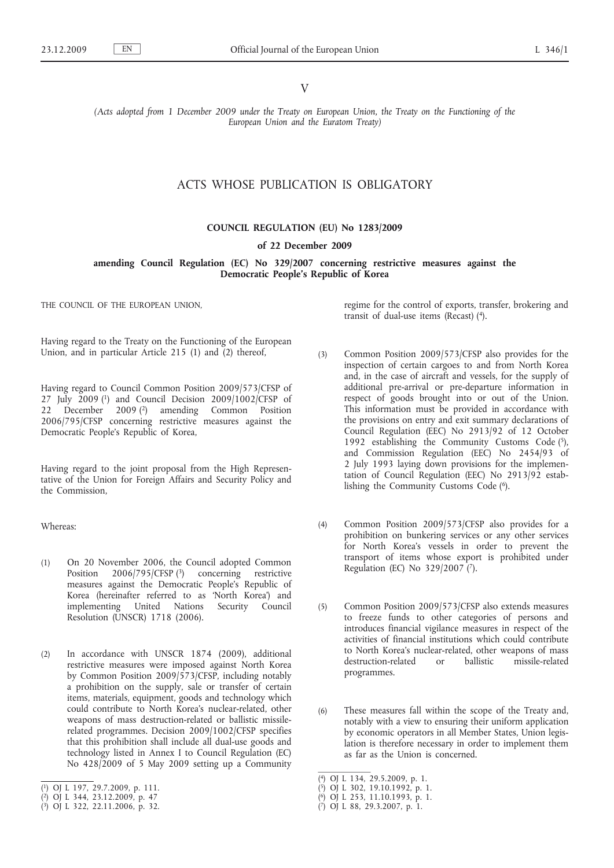V

*(Acts adopted from 1 December 2009 under the Treaty on European Union, the Treaty on the Functioning of the European Union and the Euratom Treaty)*

## ACTS WHOSE PUBLICATION IS OBLIGATORY

### **COUNCIL REGULATION (EU) No 1283/2009**

### **of 22 December 2009**

**amending Council Regulation (EC) No 329/2007 concerning restrictive measures against the Democratic People's Republic of Korea**

THE COUNCIL OF THE EUROPEAN UNION,

Having regard to the Treaty on the Functioning of the European Union, and in particular Article 215 (1) and (2) thereof,

Having regard to Council Common Position 2009/573/CFSP of 27 July 2009 (1) and Council Decision 2009/1002/CFSP of 22 December 2009 (2) amending Common Position 2006/795/CFSP concerning restrictive measures against the Democratic People's Republic of Korea,

Having regard to the joint proposal from the High Representative of the Union for Foreign Affairs and Security Policy and the Commission,

Whereas:

- (1) On 20 November 2006, the Council adopted Common Position 2006/795/CFSP (3) concerning restrictive measures against the Democratic People's Republic of Korea (hereinafter referred to as 'North Korea') and implementing United Nations Security Council Resolution (UNSCR) 1718 (2006).
- (2) In accordance with UNSCR 1874 (2009), additional restrictive measures were imposed against North Korea by Common Position 2009/573/CFSP, including notably a prohibition on the supply, sale or transfer of certain items, materials, equipment, goods and technology which could contribute to North Korea's nuclear-related, other weapons of mass destruction-related or ballistic missilerelated programmes. Decision 2009/1002/CFSP specifies that this prohibition shall include all dual-use goods and technology listed in Annex I to Council Regulation (EC) No 428/2009 of 5 May 2009 setting up a Community

regime for the control of exports, transfer, brokering and transit of dual-use items (Recast) (4).

- (3) Common Position 2009/573/CFSP also provides for the inspection of certain cargoes to and from North Korea and, in the case of aircraft and vessels, for the supply of additional pre-arrival or pre-departure information in respect of goods brought into or out of the Union. This information must be provided in accordance with the provisions on entry and exit summary declarations of Council Regulation (EEC) No 2913/92 of 12 October 1992 establishing the Community Customs Code  $(5)$ , and Commission Regulation (EEC) No 2454/93 of 2 July 1993 laying down provisions for the implementation of Council Regulation (EEC) No 2913/92 establishing the Community Customs Code (6).
- (4) Common Position 2009/573/CFSP also provides for a prohibition on bunkering services or any other services for North Korea's vessels in order to prevent the transport of items whose export is prohibited under Regulation (EC) No 329/2007 (7).
- (5) Common Position 2009/573/CFSP also extends measures to freeze funds to other categories of persons and introduces financial vigilance measures in respect of the activities of financial institutions which could contribute to North Korea's nuclear-related, other weapons of mass destruction-related or ballistic missile-related programmes.
- (6) These measures fall within the scope of the Treaty and, notably with a view to ensuring their uniform application by economic operators in all Member States, Union legislation is therefore necessary in order to implement them as far as the Union is concerned.

<sup>(</sup> 1) OJ L 197, 29.7.2009, p. 111.

<sup>(</sup> 2) OJ L 344, 23.12.2009, p. 47

<sup>(</sup> 3) OJ L 322, 22.11.2006, p. 32.

<sup>(</sup> 4) OJ L 134, 29.5.2009, p. 1.

<sup>(</sup> 5) OJ L 302, 19.10.1992, p. 1.

<sup>(</sup> 6) OJ L 253, 11.10.1993, p. 1.

<sup>(</sup> 7) OJ L 88, 29.3.2007, p. 1.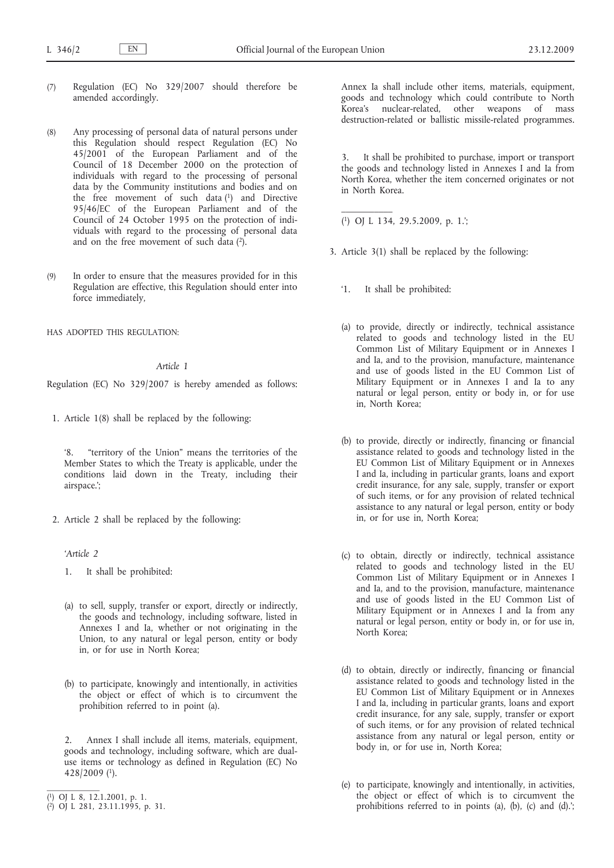- (7) Regulation (EC) No 329/2007 should therefore be amended accordingly.
- (8) Any processing of personal data of natural persons under this Regulation should respect Regulation (EC) No 45/2001 of the European Parliament and of the Council of 18 December 2000 on the protection of individuals with regard to the processing of personal data by the Community institutions and bodies and on the free movement of such data (1) and Directive 95/46/EC of the European Parliament and of the Council of 24 October 1995 on the protection of individuals with regard to the processing of personal data and on the free movement of such data (2).
- (9) In order to ensure that the measures provided for in this Regulation are effective, this Regulation should enter into force immediately,

HAS ADOPTED THIS REGULATION:

### *Article 1*

Regulation (EC) No 329/2007 is hereby amended as follows:

1. Article 1(8) shall be replaced by the following:

'8. "territory of the Union" means the territories of the Member States to which the Treaty is applicable, under the conditions laid down in the Treaty, including their airspace.';

2. Article 2 shall be replaced by the following:

*'Article 2*

- 1. It shall be prohibited:
- (a) to sell, supply, transfer or export, directly or indirectly, the goods and technology, including software, listed in Annexes I and Ia, whether or not originating in the Union, to any natural or legal person, entity or body in, or for use in North Korea;
- (b) to participate, knowingly and intentionally, in activities the object or effect of which is to circumvent the prohibition referred to in point (a).

2. Annex I shall include all items, materials, equipment, goods and technology, including software, which are dualuse items or technology as defined in Regulation (EC) No 428/2009 (1).

( 1) OJ L 8, 12.1.2001, p. 1.

Annex Ia shall include other items, materials, equipment, goods and technology which could contribute to North Korea's nuclear-related, other weapons of mass destruction-related or ballistic missile-related programmes.

3. It shall be prohibited to purchase, import or transport the goods and technology listed in Annexes I and Ia from North Korea, whether the item concerned originates or not in North Korea.

( 1) OJ L 134, 29.5.2009, p. 1.';

 $\frac{1}{2}$ 

- 3. Article 3(1) shall be replaced by the following:
	- '1. It shall be prohibited:
	- (a) to provide, directly or indirectly, technical assistance related to goods and technology listed in the EU Common List of Military Equipment or in Annexes I and Ia, and to the provision, manufacture, maintenance and use of goods listed in the EU Common List of Military Equipment or in Annexes I and Ia to any natural or legal person, entity or body in, or for use in, North Korea;
	- (b) to provide, directly or indirectly, financing or financial assistance related to goods and technology listed in the EU Common List of Military Equipment or in Annexes I and Ia, including in particular grants, loans and export credit insurance, for any sale, supply, transfer or export of such items, or for any provision of related technical assistance to any natural or legal person, entity or body in, or for use in, North Korea;
	- (c) to obtain, directly or indirectly, technical assistance related to goods and technology listed in the EU Common List of Military Equipment or in Annexes I and Ia, and to the provision, manufacture, maintenance and use of goods listed in the EU Common List of Military Equipment or in Annexes I and Ia from any natural or legal person, entity or body in, or for use in, North Korea;
	- (d) to obtain, directly or indirectly, financing or financial assistance related to goods and technology listed in the EU Common List of Military Equipment or in Annexes I and Ia, including in particular grants, loans and export credit insurance, for any sale, supply, transfer or export of such items, or for any provision of related technical assistance from any natural or legal person, entity or body in, or for use in, North Korea;
	- (e) to participate, knowingly and intentionally, in activities, the object or effect of which is to circumvent the prohibitions referred to in points (a), (b), (c) and (d).';

<sup>(</sup> 2) OJ L 281, 23.11.1995, p. 31.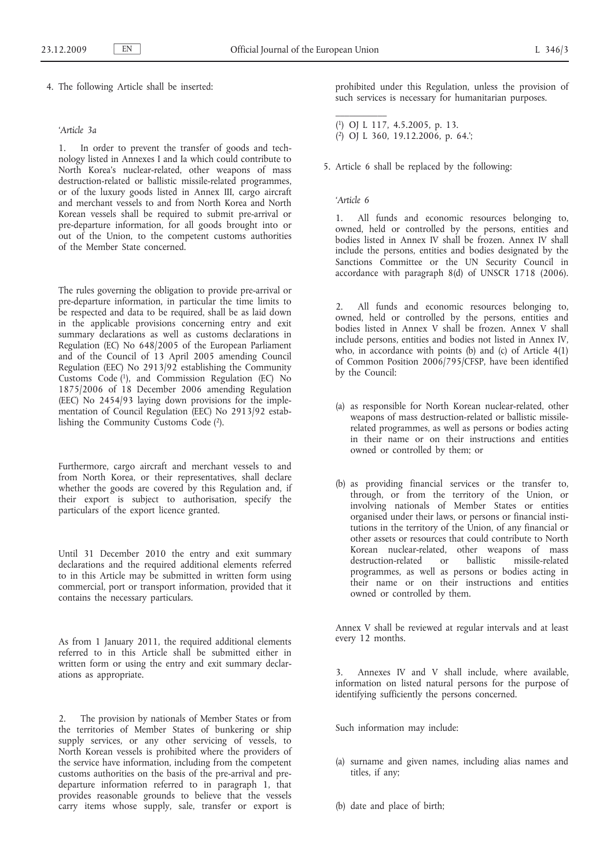4. The following Article shall be inserted:

### *'Article 3a*

1. In order to prevent the transfer of goods and technology listed in Annexes I and Ia which could contribute to North Korea's nuclear-related, other weapons of mass destruction-related or ballistic missile-related programmes, or of the luxury goods listed in Annex III, cargo aircraft and merchant vessels to and from North Korea and North Korean vessels shall be required to submit pre-arrival or pre-departure information, for all goods brought into or out of the Union, to the competent customs authorities of the Member State concerned.

The rules governing the obligation to provide pre-arrival or pre-departure information, in particular the time limits to be respected and data to be required, shall be as laid down in the applicable provisions concerning entry and exit summary declarations as well as customs declarations in Regulation (EC) No 648/2005 of the European Parliament and of the Council of 13 April 2005 amending Council Regulation (EEC) No 2913/92 establishing the Community Customs Code (1), and Commission Regulation (EC) No 1875/2006 of 18 December 2006 amending Regulation (EEC) No 2454/93 laying down provisions for the implementation of Council Regulation (EEC) No 2913/92 establishing the Community Customs Code (2).

Furthermore, cargo aircraft and merchant vessels to and from North Korea, or their representatives, shall declare whether the goods are covered by this Regulation and, if their export is subject to authorisation, specify the particulars of the export licence granted.

Until 31 December 2010 the entry and exit summary declarations and the required additional elements referred to in this Article may be submitted in written form using commercial, port or transport information, provided that it contains the necessary particulars.

As from 1 January 2011, the required additional elements referred to in this Article shall be submitted either in written form or using the entry and exit summary declarations as appropriate.

2. The provision by nationals of Member States or from the territories of Member States of bunkering or ship supply services, or any other servicing of vessels, to North Korean vessels is prohibited where the providers of the service have information, including from the competent customs authorities on the basis of the pre-arrival and predeparture information referred to in paragraph 1, that provides reasonable grounds to believe that the vessels carry items whose supply, sale, transfer or export is prohibited under this Regulation, unless the provision of such services is necessary for humanitarian purposes.

- ( 1) OJ L 117, 4.5.2005, p. 13. ( 2) OJ L 360, 19.12.2006, p. 64.';
- 5. Article 6 shall be replaced by the following:

### *'Article 6*

1. All funds and economic resources belonging to, owned, held or controlled by the persons, entities and bodies listed in Annex IV shall be frozen. Annex IV shall include the persons, entities and bodies designated by the Sanctions Committee or the UN Security Council in accordance with paragraph 8(d) of UNSCR 1718 (2006).

2. All funds and economic resources belonging to, owned, held or controlled by the persons, entities and bodies listed in Annex V shall be frozen. Annex V shall include persons, entities and bodies not listed in Annex IV, who, in accordance with points (b) and (c) of Article 4(1) of Common Position 2006/795/CFSP, have been identified by the Council:

- (a) as responsible for North Korean nuclear-related, other weapons of mass destruction-related or ballistic missilerelated programmes, as well as persons or bodies acting in their name or on their instructions and entities owned or controlled by them; or
- (b) as providing financial services or the transfer to, through, or from the territory of the Union, or involving nationals of Member States or entities organised under their laws, or persons or financial institutions in the territory of the Union, of any financial or other assets or resources that could contribute to North Korean nuclear-related, other weapons of mass destruction-related or ballistic missile-related programmes, as well as persons or bodies acting in their name or on their instructions and entities owned or controlled by them.

Annex V shall be reviewed at regular intervals and at least every 12 months.

3. Annexes IV and V shall include, where available, information on listed natural persons for the purpose of identifying sufficiently the persons concerned.

Such information may include:

- (a) surname and given names, including alias names and titles, if any;
- (b) date and place of birth;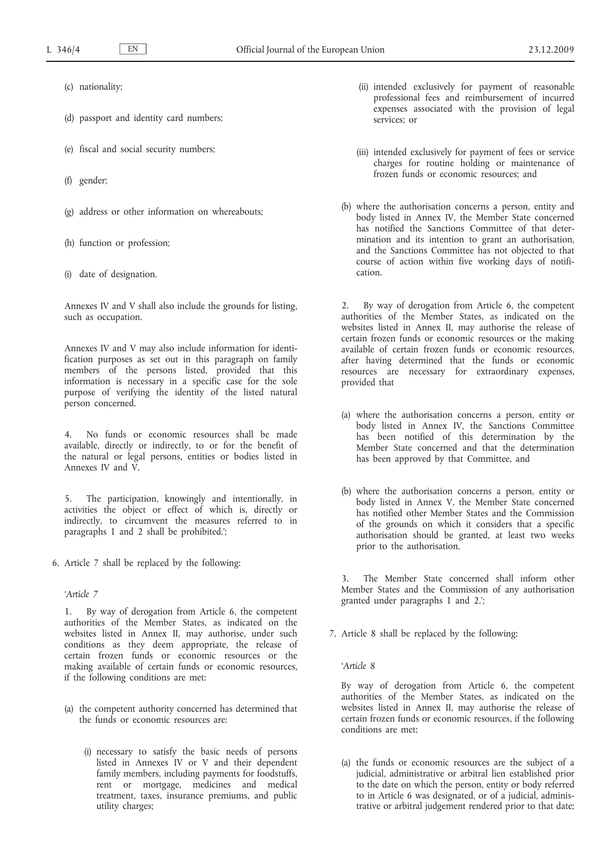- (c) nationality;
- (d) passport and identity card numbers;
- (e) fiscal and social security numbers;
- (f) gender;
- (g) address or other information on whereabouts;
- (h) function or profession;
- (i) date of designation.

Annexes IV and V shall also include the grounds for listing, such as occupation.

Annexes IV and V may also include information for identification purposes as set out in this paragraph on family members of the persons listed, provided that this information is necessary in a specific case for the sole purpose of verifying the identity of the listed natural person concerned.

4. No funds or economic resources shall be made available, directly or indirectly, to or for the benefit of the natural or legal persons, entities or bodies listed in Annexes IV and V.

5. The participation, knowingly and intentionally, in activities the object or effect of which is, directly or indirectly, to circumvent the measures referred to in paragraphs 1 and 2 shall be prohibited.';

6. Article 7 shall be replaced by the following:

### *'Article 7*

1. By way of derogation from Article 6, the competent authorities of the Member States, as indicated on the websites listed in Annex II, may authorise, under such conditions as they deem appropriate, the release of certain frozen funds or economic resources or the making available of certain funds or economic resources, if the following conditions are met:

- (a) the competent authority concerned has determined that the funds or economic resources are:
	- (i) necessary to satisfy the basic needs of persons listed in Annexes IV or V and their dependent family members, including payments for foodstuffs, rent or mortgage, medicines and medical treatment, taxes, insurance premiums, and public utility charges;
- (ii) intended exclusively for payment of reasonable professional fees and reimbursement of incurred expenses associated with the provision of legal services; or
- (iii) intended exclusively for payment of fees or service charges for routine holding or maintenance of frozen funds or economic resources; and
- (b) where the authorisation concerns a person, entity and body listed in Annex IV, the Member State concerned has notified the Sanctions Committee of that determination and its intention to grant an authorisation, and the Sanctions Committee has not objected to that course of action within five working days of notification.

2. By way of derogation from Article 6, the competent authorities of the Member States, as indicated on the websites listed in Annex II, may authorise the release of certain frozen funds or economic resources or the making available of certain frozen funds or economic resources, after having determined that the funds or economic resources are necessary for extraordinary expenses, provided that

- (a) where the authorisation concerns a person, entity or body listed in Annex IV, the Sanctions Committee has been notified of this determination by the Member State concerned and that the determination has been approved by that Committee, and
- (b) where the authorisation concerns a person, entity or body listed in Annex V, the Member State concerned has notified other Member States and the Commission of the grounds on which it considers that a specific authorisation should be granted, at least two weeks prior to the authorisation.

The Member State concerned shall inform other Member States and the Commission of any authorisation granted under paragraphs 1 and 2.';

7. Article 8 shall be replaced by the following:

*'Article 8*

By way of derogation from Article 6, the competent authorities of the Member States, as indicated on the websites listed in Annex II, may authorise the release of certain frozen funds or economic resources, if the following conditions are met:

(a) the funds or economic resources are the subject of a judicial, administrative or arbitral lien established prior to the date on which the person, entity or body referred to in Article 6 was designated, or of a judicial, administrative or arbitral judgement rendered prior to that date;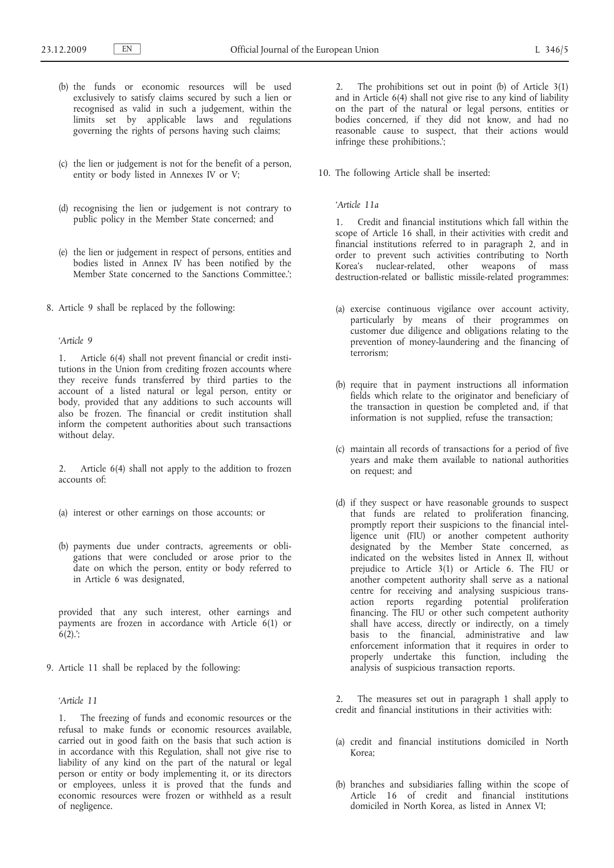- (b) the funds or economic resources will be used exclusively to satisfy claims secured by such a lien or recognised as valid in such a judgement, within the limits set by applicable laws and regulations governing the rights of persons having such claims;
- (c) the lien or judgement is not for the benefit of a person, entity or body listed in Annexes IV or V;
- (d) recognising the lien or judgement is not contrary to public policy in the Member State concerned; and
- (e) the lien or judgement in respect of persons, entities and bodies listed in Annex IV has been notified by the Member State concerned to the Sanctions Committee.';
- 8. Article 9 shall be replaced by the following:

### *'Article 9*

1. Article 6(4) shall not prevent financial or credit institutions in the Union from crediting frozen accounts where they receive funds transferred by third parties to the account of a listed natural or legal person, entity or body, provided that any additions to such accounts will also be frozen. The financial or credit institution shall inform the competent authorities about such transactions without delay.

2. Article 6(4) shall not apply to the addition to frozen accounts of:

- (a) interest or other earnings on those accounts; or
- (b) payments due under contracts, agreements or obligations that were concluded or arose prior to the date on which the person, entity or body referred to in Article 6 was designated,

provided that any such interest, other earnings and payments are frozen in accordance with Article 6(1) or  $6(2)$ :

9. Article 11 shall be replaced by the following:

### *'Article 11*

1. The freezing of funds and economic resources or the refusal to make funds or economic resources available, carried out in good faith on the basis that such action is in accordance with this Regulation, shall not give rise to liability of any kind on the part of the natural or legal person or entity or body implementing it, or its directors or employees, unless it is proved that the funds and economic resources were frozen or withheld as a result of negligence.

2. The prohibitions set out in point (b) of Article 3(1) and in Article 6(4) shall not give rise to any kind of liability on the part of the natural or legal persons, entities or bodies concerned, if they did not know, and had no reasonable cause to suspect, that their actions would infringe these prohibitions.';

10. The following Article shall be inserted:

*'Article 11a*

1. Credit and financial institutions which fall within the scope of Article 16 shall, in their activities with credit and financial institutions referred to in paragraph 2, and in order to prevent such activities contributing to North Korea's nuclear-related, other weapons of mass destruction-related or ballistic missile-related programmes:

- (a) exercise continuous vigilance over account activity, particularly by means of their programmes on customer due diligence and obligations relating to the prevention of money-laundering and the financing of terrorism;
- (b) require that in payment instructions all information fields which relate to the originator and beneficiary of the transaction in question be completed and, if that information is not supplied, refuse the transaction;
- (c) maintain all records of transactions for a period of five years and make them available to national authorities on request; and
- (d) if they suspect or have reasonable grounds to suspect that funds are related to proliferation financing, promptly report their suspicions to the financial intelligence unit (FIU) or another competent authority designated by the Member State concerned, as indicated on the websites listed in Annex II, without prejudice to Article 3(1) or Article 6. The FIU or another competent authority shall serve as a national centre for receiving and analysing suspicious transaction reports regarding potential proliferation financing. The FIU or other such competent authority shall have access, directly or indirectly, on a timely basis to the financial, administrative and law enforcement information that it requires in order to properly undertake this function, including the analysis of suspicious transaction reports.

2. The measures set out in paragraph 1 shall apply to credit and financial institutions in their activities with:

- (a) credit and financial institutions domiciled in North Korea;
- (b) branches and subsidiaries falling within the scope of Article 16 of credit and financial institutions domiciled in North Korea, as listed in Annex VI;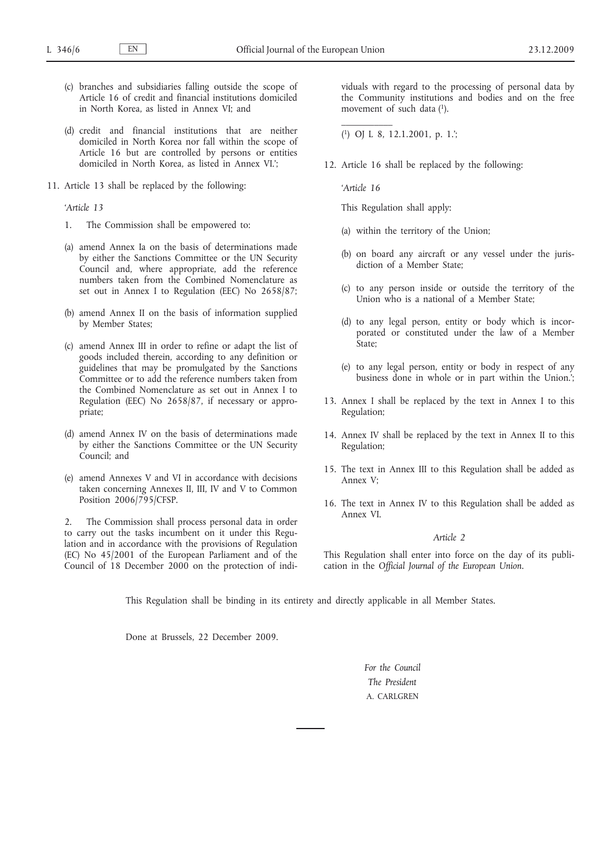- (c) branches and subsidiaries falling outside the scope of Article 16 of credit and financial institutions domiciled in North Korea, as listed in Annex VI; and
- (d) credit and financial institutions that are neither domiciled in North Korea nor fall within the scope of Article 16 but are controlled by persons or entities domiciled in North Korea, as listed in Annex VI.';
- 11. Article 13 shall be replaced by the following:

*'Article 13*

- 1. The Commission shall be empowered to:
- (a) amend Annex Ia on the basis of determinations made by either the Sanctions Committee or the UN Security Council and, where appropriate, add the reference numbers taken from the Combined Nomenclature as set out in Annex I to Regulation (EEC) No 2658/87;
- (b) amend Annex II on the basis of information supplied by Member States;
- (c) amend Annex III in order to refine or adapt the list of goods included therein, according to any definition or guidelines that may be promulgated by the Sanctions Committee or to add the reference numbers taken from the Combined Nomenclature as set out in Annex I to Regulation (EEC) No 2658/87, if necessary or appropriate;
- (d) amend Annex IV on the basis of determinations made by either the Sanctions Committee or the UN Security Council; and
- (e) amend Annexes V and VI in accordance with decisions taken concerning Annexes II, III, IV and V to Common Position 2006/795/CFSP.

2. The Commission shall process personal data in order to carry out the tasks incumbent on it under this Regulation and in accordance with the provisions of Regulation (EC) No 45/2001 of the European Parliament and of the Council of 18 December 2000 on the protection of individuals with regard to the processing of personal data by the Community institutions and bodies and on the free movement of such data (1).

( 1) OJ L 8, 12.1.2001, p. 1.';

12. Article 16 shall be replaced by the following:

*'Article 16*

 $\mathcal{L}=\mathcal{L}$ 

This Regulation shall apply:

- (a) within the territory of the Union;
- (b) on board any aircraft or any vessel under the jurisdiction of a Member State;
- (c) to any person inside or outside the territory of the Union who is a national of a Member State;
- (d) to any legal person, entity or body which is incorporated or constituted under the law of a Member State;
- (e) to any legal person, entity or body in respect of any business done in whole or in part within the Union.';
- 13. Annex I shall be replaced by the text in Annex I to this Regulation;
- 14. Annex IV shall be replaced by the text in Annex II to this Regulation;
- 15. The text in Annex III to this Regulation shall be added as Annex V;
- 16. The text in Annex IV to this Regulation shall be added as Annex VI.

### *Article 2*

This Regulation shall enter into force on the day of its publication in the *Official Journal of the European Union*.

This Regulation shall be binding in its entirety and directly applicable in all Member States.

Done at Brussels, 22 December 2009.

*For the Council The President* A. CARLGREN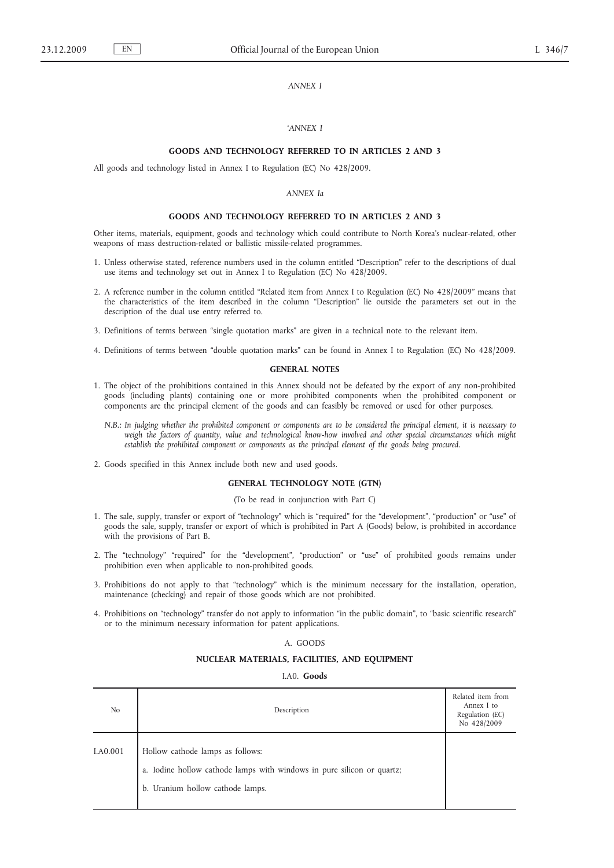### *ANNEX I*

### *'ANNEX I*

## **GOODS AND TECHNOLOGY REFERRED TO IN ARTICLES 2 AND 3**

All goods and technology listed in Annex I to Regulation (EC) No 428/2009.

#### *ANNEX Ia*

#### **GOODS AND TECHNOLOGY REFERRED TO IN ARTICLES 2 AND 3**

Other items, materials, equipment, goods and technology which could contribute to North Korea's nuclear-related, other weapons of mass destruction-related or ballistic missile-related programmes.

- 1. Unless otherwise stated, reference numbers used in the column entitled "Description" refer to the descriptions of dual use items and technology set out in Annex I to Regulation (EC) No 428/2009.
- 2. A reference number in the column entitled "Related item from Annex I to Regulation (EC) No 428/2009" means that the characteristics of the item described in the column "Description" lie outside the parameters set out in the description of the dual use entry referred to.
- 3. Definitions of terms between "single quotation marks" are given in a technical note to the relevant item.
- 4. Definitions of terms between "double quotation marks" can be found in Annex I to Regulation (EC) No 428/2009.

#### **GENERAL NOTES**

- 1. The object of the prohibitions contained in this Annex should not be defeated by the export of any non-prohibited goods (including plants) containing one or more prohibited components when the prohibited component or components are the principal element of the goods and can feasibly be removed or used for other purposes.
	- *N.B.: In judging whether the prohibited component or components are to be considered the principal element, it is necessary to weigh the factors of quantity, value and technological know-how involved and other special circumstances which might establish the prohibited component or components as the principal element of the goods being procured.*
- 2. Goods specified in this Annex include both new and used goods.

### **GENERAL TECHNOLOGY NOTE (GTN)**

### (To be read in conjunction with Part C)

- 1. The sale, supply, transfer or export of "technology" which is "required" for the "development", "production" or "use" of goods the sale, supply, transfer or export of which is prohibited in Part A (Goods) below, is prohibited in accordance with the provisions of Part B.
- 2. The "technology" "required" for the "development", "production" or "use" of prohibited goods remains under prohibition even when applicable to non-prohibited goods.
- 3. Prohibitions do not apply to that "technology" which is the minimum necessary for the installation, operation, maintenance (checking) and repair of those goods which are not prohibited.
- 4. Prohibitions on "technology" transfer do not apply to information "in the public domain", to "basic scientific research" or to the minimum necessary information for patent applications.

#### A. GOODS

### **NUCLEAR MATERIALS, FACILITIES, AND EQUIPMENT**

I.A0. **Goods**

| No       | Description                                                                                                                                    | Related item from<br>Annex I to<br>Regulation (EC)<br>No 428/2009 |
|----------|------------------------------------------------------------------------------------------------------------------------------------------------|-------------------------------------------------------------------|
| I.A0.001 | Hollow cathode lamps as follows:<br>a. Iodine hollow cathode lamps with windows in pure silicon or quartz;<br>b. Uranium hollow cathode lamps. |                                                                   |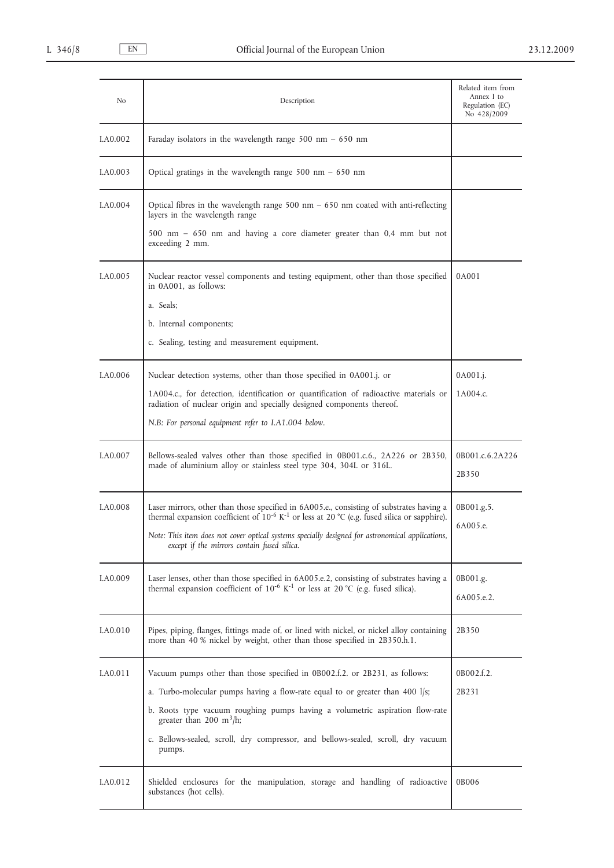| No       | Description                                                                                                                                                                                                                                                                                                                                                                           | Related item from<br>Annex I to<br>Regulation (EC)<br>No 428/2009 |
|----------|---------------------------------------------------------------------------------------------------------------------------------------------------------------------------------------------------------------------------------------------------------------------------------------------------------------------------------------------------------------------------------------|-------------------------------------------------------------------|
| I.A0.002 | Faraday isolators in the wavelength range 500 nm $-$ 650 nm                                                                                                                                                                                                                                                                                                                           |                                                                   |
| I.A0.003 | Optical gratings in the wavelength range $500$ nm $-650$ nm                                                                                                                                                                                                                                                                                                                           |                                                                   |
| I.A0.004 | Optical fibres in the wavelength range $500$ nm $-650$ nm coated with anti-reflecting<br>layers in the wavelength range<br>500 nm - 650 nm and having a core diameter greater than 0,4 mm but not<br>exceeding 2 mm.                                                                                                                                                                  |                                                                   |
| LA0.005  | Nuclear reactor vessel components and testing equipment, other than those specified<br>in 0A001, as follows:<br>a. Seals:<br>b. Internal components;<br>c. Sealing, testing and measurement equipment.                                                                                                                                                                                | 0A001                                                             |
| I.A0.006 | Nuclear detection systems, other than those specified in 0A001.j. or<br>1A004.c., for detection, identification or quantification of radioactive materials or<br>radiation of nuclear origin and specially designed components thereof.<br>N.B: For personal equipment refer to I.A1.004 below.                                                                                       | 0A001.j.<br>1A004.c.                                              |
| I.A0.007 | Bellows-sealed valves other than those specified in 0B001.c.6., 2A226 or 2B350,<br>made of aluminium alloy or stainless steel type 304, 304L or 316L.                                                                                                                                                                                                                                 | 0B001.c.6.2A226<br>2B350                                          |
| I.A0.008 | Laser mirrors, other than those specified in 6A005.e., consisting of substrates having a<br>thermal expansion coefficient of $10^{-6}$ K <sup>-1</sup> or less at 20 °C (e.g. fused silica or sapphire).<br>Note: This item does not cover optical systems specially designed for astronomical applications,<br>except if the mirrors contain fused silica.                           | 0B001.g.5.<br>6A005.e.                                            |
| I.A0.009 | Laser lenses, other than those specified in 6A005.e.2, consisting of substrates having a<br>thermal expansion coefficient of $10^{-6}$ K <sup>-1</sup> or less at 20 °C (e.g. fused silica).                                                                                                                                                                                          | 0B001.g.<br>6A005.e.2.                                            |
| I.A0.010 | Pipes, piping, flanges, fittings made of, or lined with nickel, or nickel alloy containing<br>more than 40 % nickel by weight, other than those specified in 2B350.h.1.                                                                                                                                                                                                               | 2B350                                                             |
| I.A0.011 | Vacuum pumps other than those specified in 0B002.f.2. or 2B231, as follows:<br>a. Turbo-molecular pumps having a flow-rate equal to or greater than 400 $1/s$ ;<br>b. Roots type vacuum roughing pumps having a volumetric aspiration flow-rate<br>greater than 200 m <sup>3</sup> /h;<br>c. Bellows-sealed, scroll, dry compressor, and bellows-sealed, scroll, dry vacuum<br>pumps. | 0B002.f.2.<br>2B231                                               |
| I.A0.012 | Shielded enclosures for the manipulation, storage and handling of radioactive<br>substances (hot cells).                                                                                                                                                                                                                                                                              | 0B006                                                             |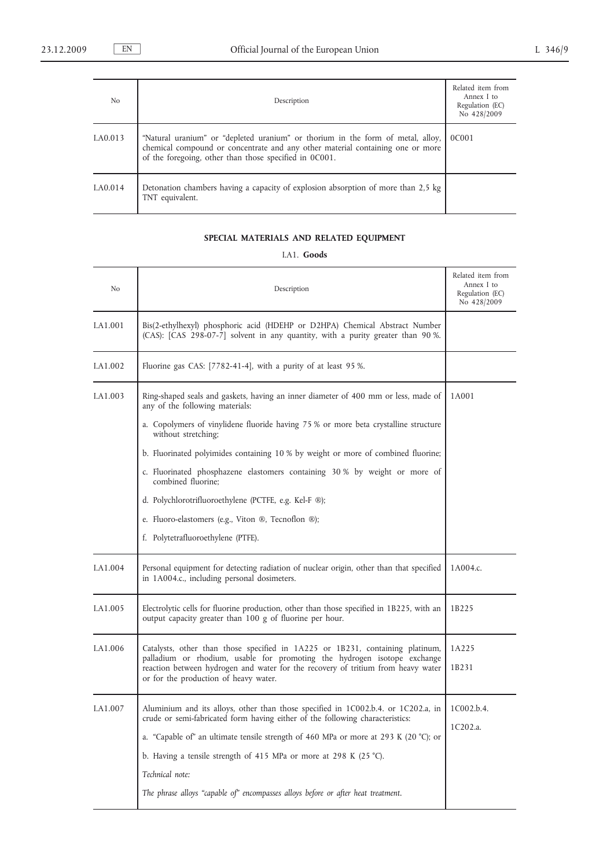| N <sub>o</sub> | Description                                                                                                                                                                                                                 | Related item from<br>Annex I to<br>Regulation (EC)<br>No 428/2009 |
|----------------|-----------------------------------------------------------------------------------------------------------------------------------------------------------------------------------------------------------------------------|-------------------------------------------------------------------|
| I.A0.013       | "Natural uranium" or "depleted uranium" or thorium in the form of metal, alloy,<br>chemical compound or concentrate and any other material containing one or more<br>of the foregoing, other than those specified in 0C001. | 0C001                                                             |
| I.A0.014       | Detonation chambers having a capacity of explosion absorption of more than 2,5 kg<br>TNT equivalent.                                                                                                                        |                                                                   |

# **SPECIAL MATERIALS AND RELATED EQUIPMENT**

I.A1. **Goods**

| N <sub>o</sub> | Description                                                                                                                                                                                           | Related item from<br>Annex I to<br>Regulation (EC)<br>No 428/2009 |
|----------------|-------------------------------------------------------------------------------------------------------------------------------------------------------------------------------------------------------|-------------------------------------------------------------------|
| I.A1.001       | Bis(2-ethylhexyl) phosphoric acid (HDEHP or D2HPA) Chemical Abstract Number<br>(CAS): [CAS 298-07-7] solvent in any quantity, with a purity greater than 90 %.                                        |                                                                   |
| I.A1.002       | Fluorine gas CAS: [7782-41-4], with a purity of at least 95 %.                                                                                                                                        |                                                                   |
| LA1.003        | Ring-shaped seals and gaskets, having an inner diameter of 400 mm or less, made of<br>any of the following materials:                                                                                 | 1A001                                                             |
|                | a. Copolymers of vinylidene fluoride having 75 % or more beta crystalline structure<br>without stretching;                                                                                            |                                                                   |
|                | b. Fluorinated polyimides containing 10 % by weight or more of combined fluorine;                                                                                                                     |                                                                   |
|                | c. Fluorinated phosphazene elastomers containing 30% by weight or more of<br>combined fluorine;                                                                                                       |                                                                   |
|                | d. Polychlorotrifluoroethylene (PCTFE, e.g. Kel-F ®);                                                                                                                                                 |                                                                   |
|                | e. Fluoro-elastomers (e.g., Viton ®, Tecnoflon ®);                                                                                                                                                    |                                                                   |
|                | f. Polytetrafluoroethylene (PTFE).                                                                                                                                                                    |                                                                   |
| I.A1.004       | Personal equipment for detecting radiation of nuclear origin, other than that specified<br>in 1A004.c., including personal dosimeters.                                                                | 1A004.c.                                                          |
| LA1.005        | Electrolytic cells for fluorine production, other than those specified in 1B225, with an<br>output capacity greater than 100 g of fluorine per hour.                                                  | 1B225                                                             |
| I.A1.006       | Catalysts, other than those specified in 1A225 or 1B231, containing platinum,                                                                                                                         | 1A225                                                             |
|                | palladium or rhodium, usable for promoting the hydrogen isotope exchange<br>reaction between hydrogen and water for the recovery of tritium from heavy water<br>or for the production of heavy water. | 1B231                                                             |
| I.A1.007       | Aluminium and its alloys, other than those specified in 1C002.b.4. or 1C202.a, in<br>crude or semi-fabricated form having either of the following characteristics:                                    | 1C002.b.4.                                                        |
|                | a. "Capable of" an ultimate tensile strength of 460 MPa or more at 293 K (20 °C); or                                                                                                                  | 1C202.a.                                                          |
|                | b. Having a tensile strength of 415 MPa or more at 298 K $(25 °C)$ .                                                                                                                                  |                                                                   |
|                | Technical note:                                                                                                                                                                                       |                                                                   |
|                | The phrase alloys "capable of" encompasses alloys before or after heat treatment.                                                                                                                     |                                                                   |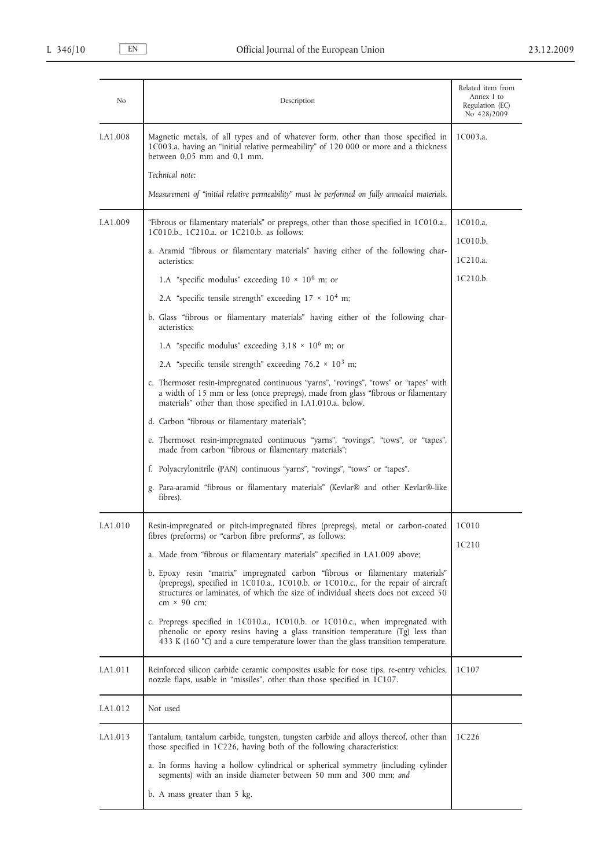| No              | Description                                                                                                                                                                                                                                                                      | Related item from<br>Annex I to<br>Regulation (EC)<br>No 428/2009 |
|-----------------|----------------------------------------------------------------------------------------------------------------------------------------------------------------------------------------------------------------------------------------------------------------------------------|-------------------------------------------------------------------|
| <b>I.A1.008</b> | Magnetic metals, of all types and of whatever form, other than those specified in<br>1C003.a. having an "initial relative permeability" of 120 000 or more and a thickness<br>between $0.05$ mm and $0.1$ mm.                                                                    | 1C003.a.                                                          |
|                 | Technical note:                                                                                                                                                                                                                                                                  |                                                                   |
|                 | Measurement of "initial relative permeability" must be performed on fully annealed materials.                                                                                                                                                                                    |                                                                   |
| I.A1.009        | "Fibrous or filamentary materials" or prepregs, other than those specified in 1C010.a.,<br>1C010.b., 1C210.a. or 1C210.b. as follows:                                                                                                                                            | 1C010.a.                                                          |
|                 | a. Aramid "fibrous or filamentary materials" having either of the following char-<br>acteristics:                                                                                                                                                                                | 1C010.b.<br>1C210.a.                                              |
|                 | 1.A "specific modulus" exceeding $10 \times 10^6$ m; or                                                                                                                                                                                                                          | 1C210.b.                                                          |
|                 | 2.A "specific tensile strength" exceeding $17 \times 10^4$ m;                                                                                                                                                                                                                    |                                                                   |
|                 | b. Glass "fibrous or filamentary materials" having either of the following char-<br>acteristics:                                                                                                                                                                                 |                                                                   |
|                 | 1.A "specific modulus" exceeding $3,18 \times 10^6$ m; or                                                                                                                                                                                                                        |                                                                   |
|                 | 2.A "specific tensile strength" exceeding $76.2 \times 10^3$ m;                                                                                                                                                                                                                  |                                                                   |
|                 | c. Thermoset resin-impregnated continuous "yarns", "rovings", "tows" or "tapes" with<br>a width of 15 mm or less (once prepregs), made from glass "fibrous or filamentary<br>materials" other than those specified in I.A1.010.a. below.                                         |                                                                   |
|                 | d. Carbon "fibrous or filamentary materials";                                                                                                                                                                                                                                    |                                                                   |
|                 | e. Thermoset resin-impregnated continuous "yarns", "rovings", "tows", or "tapes",<br>made from carbon "fibrous or filamentary materials";                                                                                                                                        |                                                                   |
|                 | f. Polyacrylonitrile (PAN) continuous "yarns", "rovings", "tows" or "tapes".                                                                                                                                                                                                     |                                                                   |
|                 | g. Para-aramid "fibrous or filamentary materials" (Kevlar® and other Kevlar®-like<br>fibres).                                                                                                                                                                                    |                                                                   |
| I.A1.010        | Resin-impregnated or pitch-impregnated fibres (prepregs), metal or carbon-coated<br>fibres (preforms) or "carbon fibre preforms", as follows:                                                                                                                                    | 1C010                                                             |
|                 | a. Made from "fibrous or filamentary materials" specified in I.A1.009 above;                                                                                                                                                                                                     | 1C <sub>2</sub> 10                                                |
|                 | b. Epoxy resin "matrix" impregnated carbon "fibrous or filamentary materials"<br>(prepregs), specified in 1C010.a., 1C010.b. or 1C010.c., for the repair of aircraft<br>structures or laminates, of which the size of individual sheets does not exceed 50<br>$cm \times 90$ cm; |                                                                   |
|                 | c. Prepregs specified in 1C010.a., 1C010.b. or 1C010.c., when impregnated with<br>phenolic or epoxy resins having a glass transition temperature (Tg) less than<br>433 K (160 $^{\circ}$ C) and a cure temperature lower than the glass transition temperature.                  |                                                                   |
| I.A1.011        | Reinforced silicon carbide ceramic composites usable for nose tips, re-entry vehicles,<br>nozzle flaps, usable in "missiles", other than those specified in 1C107.                                                                                                               | 1C107                                                             |
| I.A1.012        | Not used                                                                                                                                                                                                                                                                         |                                                                   |
| I.A1.013        | Tantalum, tantalum carbide, tungsten, tungsten carbide and alloys thereof, other than<br>those specified in 1C226, having both of the following characteristics:                                                                                                                 | 1C <sub>2</sub> 26                                                |
|                 | a. In forms having a hollow cylindrical or spherical symmetry (including cylinder<br>segments) with an inside diameter between 50 mm and 300 mm; and                                                                                                                             |                                                                   |
|                 | b. A mass greater than 5 kg.                                                                                                                                                                                                                                                     |                                                                   |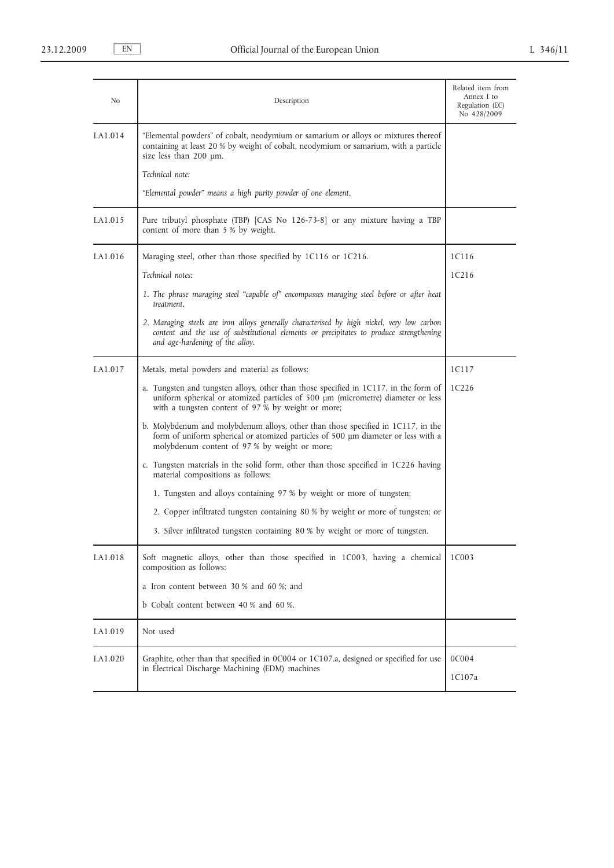| No       | Description                                                                                                                                                                                                                   | Related item from<br>Annex I to<br>Regulation (EC)<br>No 428/2009 |
|----------|-------------------------------------------------------------------------------------------------------------------------------------------------------------------------------------------------------------------------------|-------------------------------------------------------------------|
| I.A1.014 | "Elemental powders" of cobalt, neodymium or samarium or alloys or mixtures thereof<br>containing at least 20 % by weight of cobalt, neodymium or samarium, with a particle<br>size less than $200 \mu m$ .                    |                                                                   |
|          | Technical note:                                                                                                                                                                                                               |                                                                   |
|          | "Elemental powder" means a high purity powder of one element.                                                                                                                                                                 |                                                                   |
| I.A1.015 | Pure tributyl phosphate (TBP) [CAS No 126-73-8] or any mixture having a TBP<br>content of more than 5 % by weight.                                                                                                            |                                                                   |
| I.A1.016 | Maraging steel, other than those specified by 1C116 or 1C216.                                                                                                                                                                 | 1C116                                                             |
|          | Technical notes:                                                                                                                                                                                                              | 1C <sub>216</sub>                                                 |
|          | 1. The phrase maraging steel "capable of" encompasses maraging steel before or after heat<br>treatment.                                                                                                                       |                                                                   |
|          | 2. Maraging steels are iron alloys generally characterised by high nickel, very low carbon<br>content and the use of substitutional elements or precipitates to produce strengthening<br>and age-hardening of the alloy.      |                                                                   |
| I.A1.017 | Metals, metal powders and material as follows:                                                                                                                                                                                | 1C117                                                             |
|          | a. Tungsten and tungsten alloys, other than those specified in 1C117, in the form of<br>uniform spherical or atomized particles of 500 µm (micrometre) diameter or less<br>with a tungsten content of 97 % by weight or more; | 1C <sub>226</sub>                                                 |
|          | b. Molybdenum and molybdenum alloys, other than those specified in 1C117, in the<br>form of uniform spherical or atomized particles of 500 µm diameter or less with a<br>molybdenum content of 97 % by weight or more;        |                                                                   |
|          | c. Tungsten materials in the solid form, other than those specified in 1C226 having<br>material compositions as follows:                                                                                                      |                                                                   |
|          | 1. Tungsten and alloys containing 97 % by weight or more of tungsten;                                                                                                                                                         |                                                                   |
|          | 2. Copper infiltrated tungsten containing 80 % by weight or more of tungsten; or                                                                                                                                              |                                                                   |
|          | 3. Silver infiltrated tungsten containing 80 % by weight or more of tungsten.                                                                                                                                                 |                                                                   |
| I.A1.018 | Soft magnetic alloys, other than those specified in 1C003, having a chemical<br>composition as follows:                                                                                                                       | 1C003                                                             |
|          | a Iron content between 30 % and 60 %; and                                                                                                                                                                                     |                                                                   |
|          | b Cobalt content between 40 % and 60 %.                                                                                                                                                                                       |                                                                   |
| I.A1.019 | Not used                                                                                                                                                                                                                      |                                                                   |
| I.A1.020 | Graphite, other than that specified in 0C004 or 1C107.a, designed or specified for use                                                                                                                                        | 0C004                                                             |
|          | in Electrical Discharge Machining (EDM) machines                                                                                                                                                                              | 1C107a                                                            |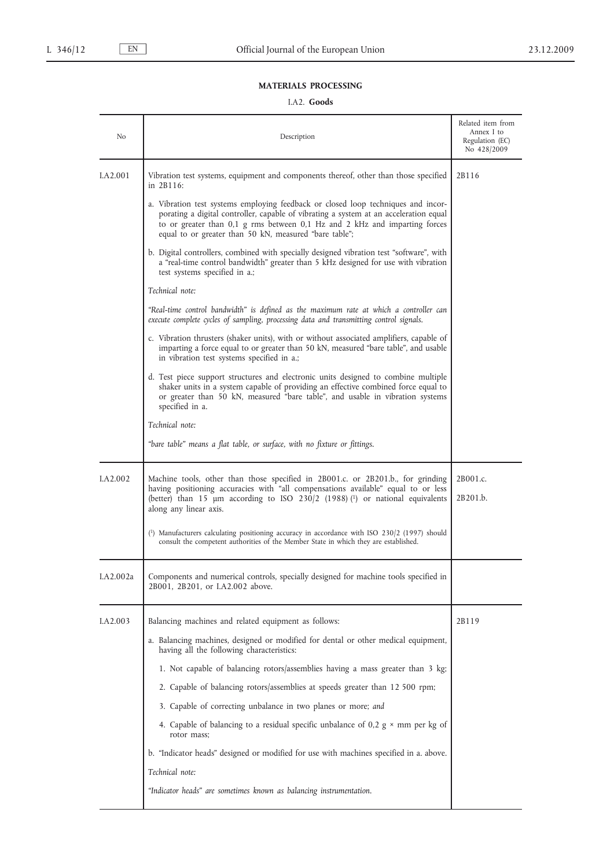## **MATERIALS PROCESSING**

## I.A2. **Goods**

| No                   | Description                                                                                                                                                                                                                                                                                                        | Related item from<br>Annex I to<br>Regulation (EC)<br>No 428/2009 |
|----------------------|--------------------------------------------------------------------------------------------------------------------------------------------------------------------------------------------------------------------------------------------------------------------------------------------------------------------|-------------------------------------------------------------------|
| I.A <sub>2.001</sub> | Vibration test systems, equipment and components thereof, other than those specified<br>in 2B116:                                                                                                                                                                                                                  | 2B116                                                             |
|                      | a. Vibration test systems employing feedback or closed loop techniques and incor-<br>porating a digital controller, capable of vibrating a system at an acceleration equal<br>to or greater than 0,1 g rms between 0,1 Hz and 2 kHz and imparting forces<br>equal to or greater than 50 kN, measured "bare table"; |                                                                   |
|                      | b. Digital controllers, combined with specially designed vibration test "software", with<br>a "real-time control bandwidth" greater than 5 kHz designed for use with vibration<br>test systems specified in a.;                                                                                                    |                                                                   |
|                      | Technical note:                                                                                                                                                                                                                                                                                                    |                                                                   |
|                      | "Real-time control bandwidth" is defined as the maximum rate at which a controller can<br>execute complete cycles of sampling, processing data and transmitting control signals.                                                                                                                                   |                                                                   |
|                      | c. Vibration thrusters (shaker units), with or without associated amplifiers, capable of<br>imparting a force equal to or greater than 50 kN, measured "bare table", and usable<br>in vibration test systems specified in a.;                                                                                      |                                                                   |
|                      | d. Test piece support structures and electronic units designed to combine multiple<br>shaker units in a system capable of providing an effective combined force equal to<br>or greater than 50 kN, measured "bare table", and usable in vibration systems<br>specified in a.                                       |                                                                   |
|                      | Technical note:                                                                                                                                                                                                                                                                                                    |                                                                   |
|                      | "bare table" means a flat table, or surface, with no fixture or fittings.                                                                                                                                                                                                                                          |                                                                   |
| LA <sub>2.002</sub>  | Machine tools, other than those specified in 2B001.c. or 2B201.b., for grinding<br>having positioning accuracies with "all compensations available" equal to or less<br>(better) than 15 µm according to ISO 230/2 (1988) (1) or national equivalents<br>along any linear axis.                                    | 2B001.c.<br>2B201.b.                                              |
|                      | $\binom{1}{1}$ Manufacturers calculating positioning accuracy in accordance with ISO 230/2 (1997) should<br>consult the competent authorities of the Member State in which they are established.                                                                                                                   |                                                                   |
| I.A2.002a            | Components and numerical controls, specially designed for machine tools specified in<br>2B001, 2B201, or I.A2.002 above.                                                                                                                                                                                           |                                                                   |
| I.A2.003             | Balancing machines and related equipment as follows:                                                                                                                                                                                                                                                               | 2B119                                                             |
|                      | a. Balancing machines, designed or modified for dental or other medical equipment,<br>having all the following characteristics:                                                                                                                                                                                    |                                                                   |
|                      | 1. Not capable of balancing rotors/assemblies having a mass greater than 3 kg;                                                                                                                                                                                                                                     |                                                                   |
|                      | 2. Capable of balancing rotors/assemblies at speeds greater than 12 500 rpm;                                                                                                                                                                                                                                       |                                                                   |
|                      | 3. Capable of correcting unbalance in two planes or more; and                                                                                                                                                                                                                                                      |                                                                   |
|                      | 4. Capable of balancing to a residual specific unbalance of 0,2 $g \times$ mm per kg of<br>rotor mass;                                                                                                                                                                                                             |                                                                   |
|                      | b. "Indicator heads" designed or modified for use with machines specified in a. above.                                                                                                                                                                                                                             |                                                                   |
|                      | Technical note:                                                                                                                                                                                                                                                                                                    |                                                                   |
|                      | "Indicator heads" are sometimes known as balancing instrumentation.                                                                                                                                                                                                                                                |                                                                   |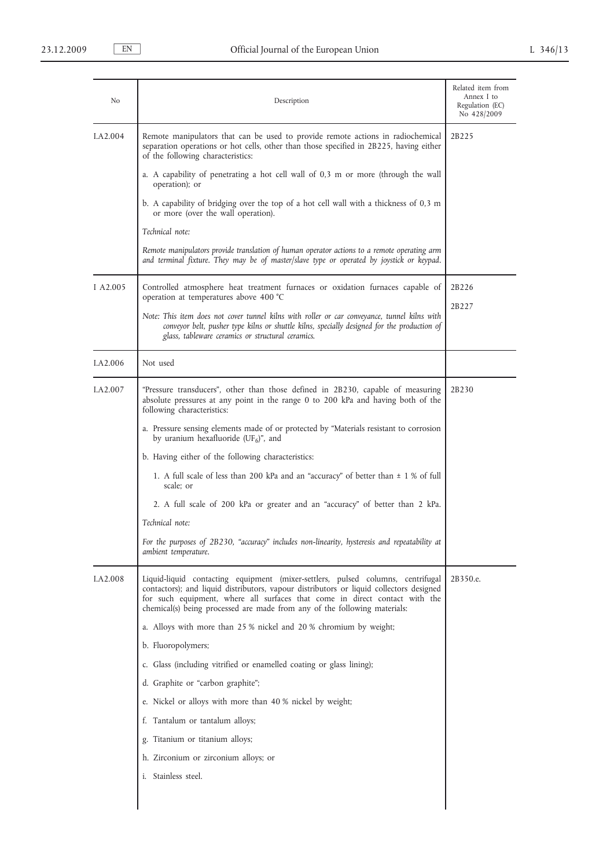| No       | Description                                                                                                                                                                                                                                                                                                                            | Related item from<br>Annex I to<br>Regulation (EC)<br>No 428/2009 |
|----------|----------------------------------------------------------------------------------------------------------------------------------------------------------------------------------------------------------------------------------------------------------------------------------------------------------------------------------------|-------------------------------------------------------------------|
| I.A2.004 | Remote manipulators that can be used to provide remote actions in radiochemical<br>separation operations or hot cells, other than those specified in 2B225, having either<br>of the following characteristics:                                                                                                                         | 2B225                                                             |
|          | a. A capability of penetrating a hot cell wall of 0,3 m or more (through the wall<br>operation); or                                                                                                                                                                                                                                    |                                                                   |
|          | b. A capability of bridging over the top of a hot cell wall with a thickness of 0,3 m<br>or more (over the wall operation).                                                                                                                                                                                                            |                                                                   |
|          | Technical note:                                                                                                                                                                                                                                                                                                                        |                                                                   |
|          | Remote manipulators provide translation of human operator actions to a remote operating arm<br>and terminal fixture. They may be of master/slave type or operated by joystick or keypad.                                                                                                                                               |                                                                   |
| I A2.005 | Controlled atmosphere heat treatment furnaces or oxidation furnaces capable of<br>operation at temperatures above 400 °C                                                                                                                                                                                                               | 2B226                                                             |
|          | Note: This item does not cover tunnel kilns with roller or car conveyance, tunnel kilns with<br>conveyor belt, pusher type kilns or shuttle kilns, specially designed for the production of<br>glass, tableware ceramics or structural ceramics.                                                                                       | 2B227                                                             |
| I.A2.006 | Not used                                                                                                                                                                                                                                                                                                                               |                                                                   |
| I.A2.007 | "Pressure transducers", other than those defined in 2B230, capable of measuring<br>absolute pressures at any point in the range 0 to 200 kPa and having both of the<br>following characteristics:                                                                                                                                      | 2B230                                                             |
|          | a. Pressure sensing elements made of or protected by "Materials resistant to corrosion<br>by uranium hexafluoride (UF <sub>6</sub> )", and                                                                                                                                                                                             |                                                                   |
|          | b. Having either of the following characteristics:                                                                                                                                                                                                                                                                                     |                                                                   |
|          | 1. A full scale of less than 200 kPa and an "accuracy" of better than $\pm$ 1 % of full<br>scale; or                                                                                                                                                                                                                                   |                                                                   |
|          | 2. A full scale of 200 kPa or greater and an "accuracy" of better than 2 kPa.                                                                                                                                                                                                                                                          |                                                                   |
|          | Technical note:                                                                                                                                                                                                                                                                                                                        |                                                                   |
|          | For the purposes of 2B230, "accuracy" includes non-linearity, hysteresis and repeatability at<br>ambient temperature.                                                                                                                                                                                                                  |                                                                   |
| I.A2.008 | Liquid-liquid contacting equipment (mixer-settlers, pulsed columns, centrifugal<br>contactors); and liquid distributors, vapour distributors or liquid collectors designed<br>for such equipment, where all surfaces that come in direct contact with the<br>chemical(s) being processed are made from any of the following materials: | 2B350.e.                                                          |
|          | a. Alloys with more than 25 % nickel and 20 % chromium by weight;                                                                                                                                                                                                                                                                      |                                                                   |
|          | b. Fluoropolymers;                                                                                                                                                                                                                                                                                                                     |                                                                   |
|          | c. Glass (including vitrified or enamelled coating or glass lining);                                                                                                                                                                                                                                                                   |                                                                   |
|          | d. Graphite or "carbon graphite";                                                                                                                                                                                                                                                                                                      |                                                                   |
|          | e. Nickel or alloys with more than 40 % nickel by weight;                                                                                                                                                                                                                                                                              |                                                                   |
|          | f. Tantalum or tantalum alloys;                                                                                                                                                                                                                                                                                                        |                                                                   |
|          | g. Titanium or titanium alloys;                                                                                                                                                                                                                                                                                                        |                                                                   |
|          | h. Zirconium or zirconium alloys; or                                                                                                                                                                                                                                                                                                   |                                                                   |
|          | i. Stainless steel.                                                                                                                                                                                                                                                                                                                    |                                                                   |
|          |                                                                                                                                                                                                                                                                                                                                        |                                                                   |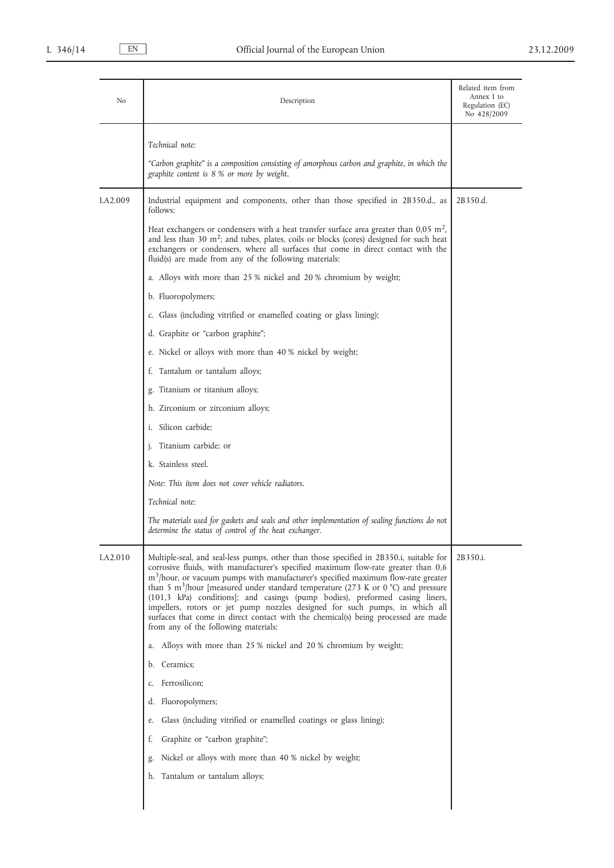| No       | Description                                                                                                                                                                                                                                                                                                                                                                                                                                                                                                                                                                                                                                                                            | Related item from<br>Annex I to<br>Regulation (EC)<br>No 428/2009 |
|----------|----------------------------------------------------------------------------------------------------------------------------------------------------------------------------------------------------------------------------------------------------------------------------------------------------------------------------------------------------------------------------------------------------------------------------------------------------------------------------------------------------------------------------------------------------------------------------------------------------------------------------------------------------------------------------------------|-------------------------------------------------------------------|
|          | Technical note:                                                                                                                                                                                                                                                                                                                                                                                                                                                                                                                                                                                                                                                                        |                                                                   |
|          | "Carbon graphite" is a composition consisting of amorphous carbon and graphite, in which the<br>graphite content is 8 % or more by weight.                                                                                                                                                                                                                                                                                                                                                                                                                                                                                                                                             |                                                                   |
| I.A2.009 | Industrial equipment and components, other than those specified in 2B350.d., as<br>follows:                                                                                                                                                                                                                                                                                                                                                                                                                                                                                                                                                                                            | 2B350.d.                                                          |
|          | Heat exchangers or condensers with a heat transfer surface area greater than $0.05$ m <sup>2</sup> ,<br>and less than 30 m <sup>2</sup> ; and tubes, plates, coils or blocks (cores) designed for such heat<br>exchangers or condensers, where all surfaces that come in direct contact with the<br>fluid(s) are made from any of the following materials:                                                                                                                                                                                                                                                                                                                             |                                                                   |
|          | a. Alloys with more than 25 % nickel and 20 % chromium by weight;                                                                                                                                                                                                                                                                                                                                                                                                                                                                                                                                                                                                                      |                                                                   |
|          | b. Fluoropolymers;                                                                                                                                                                                                                                                                                                                                                                                                                                                                                                                                                                                                                                                                     |                                                                   |
|          | c. Glass (including vitrified or enamelled coating or glass lining);                                                                                                                                                                                                                                                                                                                                                                                                                                                                                                                                                                                                                   |                                                                   |
|          | d. Graphite or "carbon graphite";                                                                                                                                                                                                                                                                                                                                                                                                                                                                                                                                                                                                                                                      |                                                                   |
|          | e. Nickel or alloys with more than 40 % nickel by weight;                                                                                                                                                                                                                                                                                                                                                                                                                                                                                                                                                                                                                              |                                                                   |
|          | f. Tantalum or tantalum alloys;                                                                                                                                                                                                                                                                                                                                                                                                                                                                                                                                                                                                                                                        |                                                                   |
|          | g. Titanium or titanium alloys;                                                                                                                                                                                                                                                                                                                                                                                                                                                                                                                                                                                                                                                        |                                                                   |
|          | h. Zirconium or zirconium alloys;                                                                                                                                                                                                                                                                                                                                                                                                                                                                                                                                                                                                                                                      |                                                                   |
|          | i. Silicon carbide;                                                                                                                                                                                                                                                                                                                                                                                                                                                                                                                                                                                                                                                                    |                                                                   |
|          | j. Titanium carbide; or                                                                                                                                                                                                                                                                                                                                                                                                                                                                                                                                                                                                                                                                |                                                                   |
|          | k. Stainless steel.                                                                                                                                                                                                                                                                                                                                                                                                                                                                                                                                                                                                                                                                    |                                                                   |
|          | Note: This item does not cover vehicle radiators.                                                                                                                                                                                                                                                                                                                                                                                                                                                                                                                                                                                                                                      |                                                                   |
|          | Technical note:                                                                                                                                                                                                                                                                                                                                                                                                                                                                                                                                                                                                                                                                        |                                                                   |
|          | The materials used for gaskets and seals and other implementation of sealing functions do not<br>determine the status of control of the heat exchanger.                                                                                                                                                                                                                                                                                                                                                                                                                                                                                                                                |                                                                   |
| I.A2.010 | Multiple-seal, and seal-less pumps, other than those specified in 2B350.i, suitable for<br>corrosive fluids, with manufacturer's specified maximum flow-rate greater than 0,6<br>m <sup>3</sup> /hour, or vacuum pumps with manufacturer's specified maximum flow-rate greater<br>than 5 m <sup>3</sup> /hour [measured under standard temperature (273 K or 0 $^{\circ}$ C) and pressure<br>(101,3 kPa) conditions]; and casings (pump bodies), preformed casing liners,<br>impellers, rotors or jet pump nozzles designed for such pumps, in which all<br>surfaces that come in direct contact with the chemical(s) being processed are made<br>from any of the following materials: | 2B350.i.                                                          |
|          | Alloys with more than 25 % nickel and 20 % chromium by weight;<br>a.                                                                                                                                                                                                                                                                                                                                                                                                                                                                                                                                                                                                                   |                                                                   |
|          | Ceramics;<br>b.                                                                                                                                                                                                                                                                                                                                                                                                                                                                                                                                                                                                                                                                        |                                                                   |
|          | Ferrosilicon;<br>c.                                                                                                                                                                                                                                                                                                                                                                                                                                                                                                                                                                                                                                                                    |                                                                   |
|          | Fluoropolymers;<br>d.                                                                                                                                                                                                                                                                                                                                                                                                                                                                                                                                                                                                                                                                  |                                                                   |
|          | Glass (including vitrified or enamelled coatings or glass lining);<br>e.                                                                                                                                                                                                                                                                                                                                                                                                                                                                                                                                                                                                               |                                                                   |
|          | Graphite or "carbon graphite";<br>t.                                                                                                                                                                                                                                                                                                                                                                                                                                                                                                                                                                                                                                                   |                                                                   |
|          | Nickel or alloys with more than 40 % nickel by weight;<br>g.                                                                                                                                                                                                                                                                                                                                                                                                                                                                                                                                                                                                                           |                                                                   |
|          | Tantalum or tantalum alloys;<br>h.                                                                                                                                                                                                                                                                                                                                                                                                                                                                                                                                                                                                                                                     |                                                                   |
|          |                                                                                                                                                                                                                                                                                                                                                                                                                                                                                                                                                                                                                                                                                        |                                                                   |
|          |                                                                                                                                                                                                                                                                                                                                                                                                                                                                                                                                                                                                                                                                                        |                                                                   |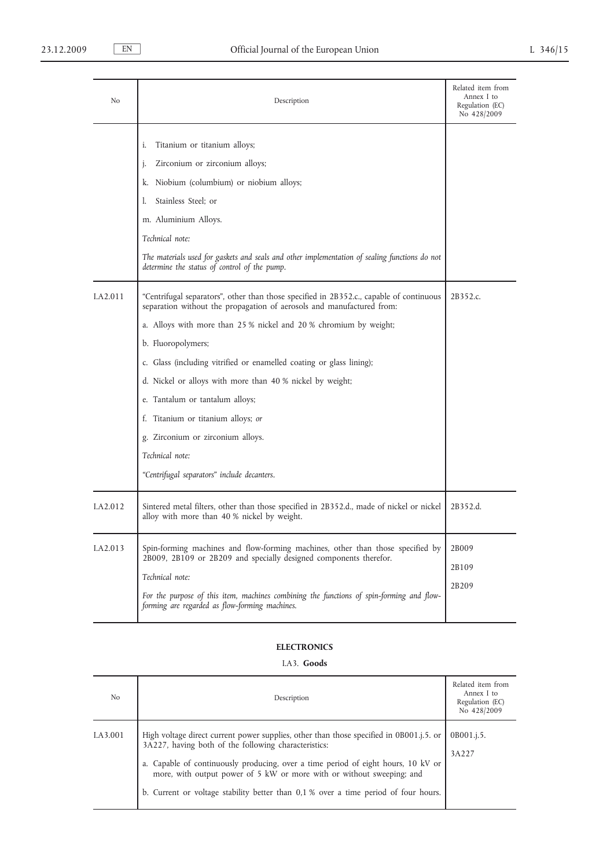| No             | Description                                                                                                                                                                                                                                                                                                                                                                                                                                                                                                                                                                                                                                                                                                                                                                                | Related item from<br>Annex I to<br>Regulation (EC)<br>No 428/2009 |
|----------------|--------------------------------------------------------------------------------------------------------------------------------------------------------------------------------------------------------------------------------------------------------------------------------------------------------------------------------------------------------------------------------------------------------------------------------------------------------------------------------------------------------------------------------------------------------------------------------------------------------------------------------------------------------------------------------------------------------------------------------------------------------------------------------------------|-------------------------------------------------------------------|
| <b>LA2.011</b> | Titanium or titanium alloys;<br>i.<br>Zirconium or zirconium alloys;<br>j.<br>Niobium (columbium) or niobium alloys;<br>k.<br>Stainless Steel; or<br>1.<br>m. Aluminium Alloys.<br>Technical note:<br>The materials used for gaskets and seals and other implementation of sealing functions do not<br>determine the status of control of the pump.<br>"Centrifugal separators", other than those specified in 2B352.c., capable of continuous<br>separation without the propagation of aerosols and manufactured from:<br>a. Alloys with more than 25 % nickel and 20 % chromium by weight;<br>b. Fluoropolymers;<br>c. Glass (including vitrified or enamelled coating or glass lining);<br>d. Nickel or alloys with more than 40 % nickel by weight;<br>e. Tantalum or tantalum alloys; | 2B352.c.                                                          |
| I.A2.012       | f. Titanium or titanium alloys; or<br>g. Zirconium or zirconium alloys.<br>Technical note:<br>"Centrifugal separators" include decanters.<br>Sintered metal filters, other than those specified in 2B352.d., made of nickel or nickel<br>alloy with more than 40 % nickel by weight.                                                                                                                                                                                                                                                                                                                                                                                                                                                                                                       | 2B352.d.                                                          |
| I.A2.013       | Spin-forming machines and flow-forming machines, other than those specified by<br>2B009, 2B109 or 2B209 and specially designed components therefor.<br>Technical note:<br>For the purpose of this item, machines combining the functions of spin-forming and flow-<br>forming are regarded as flow-forming machines.                                                                                                                                                                                                                                                                                                                                                                                                                                                                       | 2B009<br>2B109<br>2B209                                           |

## **ELECTRONICS**

# I.A3. **Goods**

| No       | Description                                                                                                                                                                                                                                                                                                                                                                                           | Related item from<br>Annex I to<br>Regulation (EC)<br>No 428/2009 |
|----------|-------------------------------------------------------------------------------------------------------------------------------------------------------------------------------------------------------------------------------------------------------------------------------------------------------------------------------------------------------------------------------------------------------|-------------------------------------------------------------------|
| I.A3.001 | High voltage direct current power supplies, other than those specified in 0B001, i.5. or<br>3A227, having both of the following characteristics:<br>a. Capable of continuously producing, over a time period of eight hours, 10 kV or<br>more, with output power of 5 kW or more with or without sweeping; and<br>b. Current or voltage stability better than 0,1 % over a time period of four hours. | 0B001.j.5.<br>3A227                                               |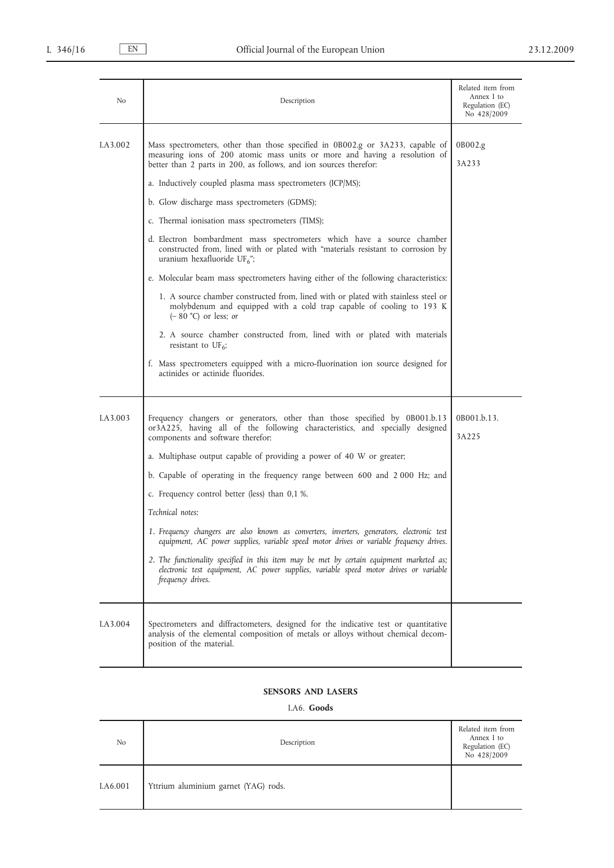| No       | Description                                                                                                                                                                                                                                                                                                                                                                                                                                                                                                                                                                                                                                                                                                                                                                                                                                                                                                                                                                                                                                                                                                       | Related item from<br>Annex I to<br>Regulation (EC)<br>No 428/2009 |
|----------|-------------------------------------------------------------------------------------------------------------------------------------------------------------------------------------------------------------------------------------------------------------------------------------------------------------------------------------------------------------------------------------------------------------------------------------------------------------------------------------------------------------------------------------------------------------------------------------------------------------------------------------------------------------------------------------------------------------------------------------------------------------------------------------------------------------------------------------------------------------------------------------------------------------------------------------------------------------------------------------------------------------------------------------------------------------------------------------------------------------------|-------------------------------------------------------------------|
| I.A3.002 | Mass spectrometers, other than those specified in 0B002.g or 3A233, capable of<br>measuring ions of 200 atomic mass units or more and having a resolution of<br>better than 2 parts in 200, as follows, and ion sources therefor:<br>a. Inductively coupled plasma mass spectrometers (ICP/MS);<br>b. Glow discharge mass spectrometers (GDMS);<br>c. Thermal ionisation mass spectrometers (TIMS);<br>d. Electron bombardment mass spectrometers which have a source chamber<br>constructed from, lined with or plated with "materials resistant to corrosion by<br>uranium hexafluoride UF $_6$ ";<br>e. Molecular beam mass spectrometers having either of the following characteristics:<br>1. A source chamber constructed from, lined with or plated with stainless steel or<br>molybdenum and equipped with a cold trap capable of cooling to 193 K<br>$(-80 °C)$ or less; or<br>2. A source chamber constructed from, lined with or plated with materials<br>resistant to $UF_6;$<br>f. Mass spectrometers equipped with a micro-fluorination ion source designed for<br>actinides or actinide fluorides. | 0B002.g<br>3A233                                                  |
| I.A3.003 | Frequency changers or generators, other than those specified by 0B001.b.13<br>or3A225, having all of the following characteristics, and specially designed<br>components and software therefor:<br>a. Multiphase output capable of providing a power of 40 W or greater;<br>b. Capable of operating in the frequency range between 600 and 2000 Hz; and<br>c. Frequency control better (less) than 0,1 %.<br>Technical notes:<br>1. Frequency changers are also known as converters, inverters, generators, electronic test<br>equipment, AC power supplies, variable speed motor drives or variable frequency drives.<br>2. The functionality specified in this item may be met by certain equipment marketed as;<br>electronic test equipment, AC power supplies, variable speed motor drives or variable<br>frequency drives.                                                                                                                                                                                                                                                                                  | 0B001.b.13.<br>3A225                                              |
| I.A3.004 | Spectrometers and diffractometers, designed for the indicative test or quantitative<br>analysis of the elemental composition of metals or alloys without chemical decom-<br>position of the material.                                                                                                                                                                                                                                                                                                                                                                                                                                                                                                                                                                                                                                                                                                                                                                                                                                                                                                             |                                                                   |

### **SENSORS AND LASERS**

I.A6. **Goods**

| No       | Description                          | Related item from<br>Annex I to<br>Regulation (EC)<br>No 428/2009 |
|----------|--------------------------------------|-------------------------------------------------------------------|
| I.A6.001 | Yttrium aluminium garnet (YAG) rods. |                                                                   |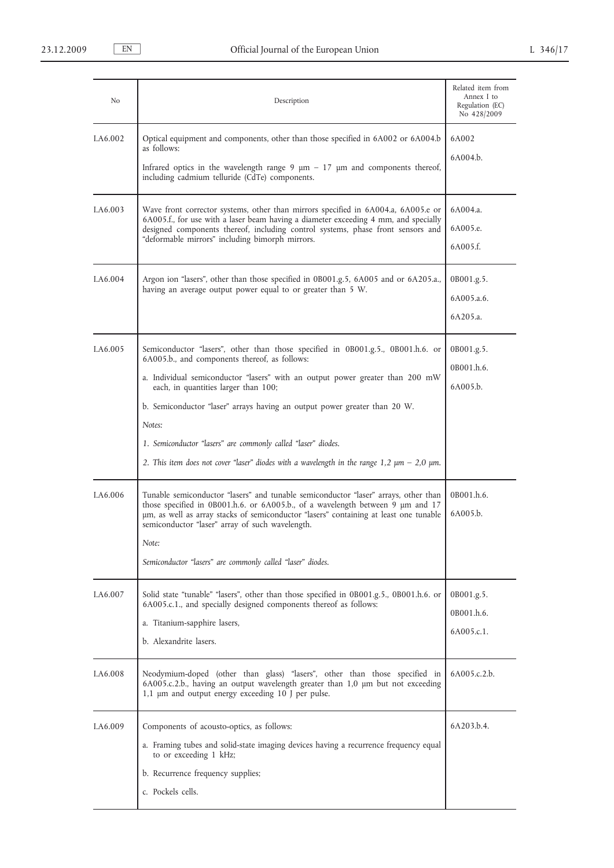| No                   | Description                                                                                                                                                                                                                                                                                                                                                                                                                                                                                                              | Related item from<br>Annex I to<br>Regulation (EC)<br>No 428/2009 |  |  |
|----------------------|--------------------------------------------------------------------------------------------------------------------------------------------------------------------------------------------------------------------------------------------------------------------------------------------------------------------------------------------------------------------------------------------------------------------------------------------------------------------------------------------------------------------------|-------------------------------------------------------------------|--|--|
| I.A <sub>6.002</sub> | Optical equipment and components, other than those specified in 6A002 or 6A004.b<br>as follows:<br>Infrared optics in the wavelength range $9 \mu m - 17 \mu m$ and components thereof,<br>including cadmium telluride (CdTe) components.                                                                                                                                                                                                                                                                                | 6A002<br>6A004.b.                                                 |  |  |
| I.A <sub>6.003</sub> | 6A004.a.<br>Wave front corrector systems, other than mirrors specified in 6A004.a, 6A005.e or<br>6A005.f., for use with a laser beam having a diameter exceeding 4 mm, and specially<br>6A005.e.<br>designed components thereof, including control systems, phase front sensors and<br>"deformable mirrors" including bimorph mirrors.<br>6A005.f.                                                                                                                                                                       |                                                                   |  |  |
| I.A <sub>6.004</sub> | Argon ion "lasers", other than those specified in 0B001.g.5, 6A005 and or 6A205.a.,<br>having an average output power equal to or greater than 5 W.                                                                                                                                                                                                                                                                                                                                                                      | 0B001.g.5.<br>6A005.a.6.<br>6A205.a.                              |  |  |
| I.A <sub>6.005</sub> | Semiconductor "lasers", other than those specified in 0B001.g.5., 0B001.h.6. or<br>6A005.b., and components thereof, as follows:<br>a. Individual semiconductor "lasers" with an output power greater than 200 mW<br>each, in quantities larger than 100;<br>b. Semiconductor "laser" arrays having an output power greater than 20 W.<br>Notes:<br>1. Semiconductor "lasers" are commonly called "laser" diodes.<br>2. This item does not cover "laser" diodes with a wavelength in the range $1,2 \mu m - 2,0 \mu m$ . | 0B001.g.5.<br>0B001.h.6.<br>6A005.b.                              |  |  |
| I.A6.006             | Tunable semiconductor "lasers" and tunable semiconductor "laser" arrays, other than<br>those specified in 0B001.h.6. or 6A005.b., of a wavelength between 9 µm and 17<br>um, as well as array stacks of semiconductor "lasers" containing at least one tunable<br>semiconductor "laser" array of such wavelength.<br>Note:<br>Semiconductor "lasers" are commonly called "laser" diodes.                                                                                                                                 | 0B001.h.6.<br>6A005.b.                                            |  |  |
| I.A6.007             | Solid state "tunable" "lasers", other than those specified in 0B001.g.5., 0B001.h.6. or<br>6A005.c.1., and specially designed components thereof as follows:<br>a. Titanium-sapphire lasers,<br>b. Alexandrite lasers.                                                                                                                                                                                                                                                                                                   | 0B001.g.5.<br>0B001.h.6.<br>6A005.c.1.                            |  |  |
| I.A <sub>6.008</sub> | Neodymium-doped (other than glass) "lasers", other than those specified in<br>6A005.c.2.b.<br>6A005.c.2.b., having an output wavelength greater than 1,0 µm but not exceeding<br>1,1 µm and output energy exceeding 10 J per pulse.                                                                                                                                                                                                                                                                                      |                                                                   |  |  |
| I.A <sub>6.009</sub> | Components of acousto-optics, as follows:<br>a. Framing tubes and solid-state imaging devices having a recurrence frequency equal<br>to or exceeding 1 kHz;<br>b. Recurrence frequency supplies;<br>c. Pockels cells.                                                                                                                                                                                                                                                                                                    | 6A203.b.4.                                                        |  |  |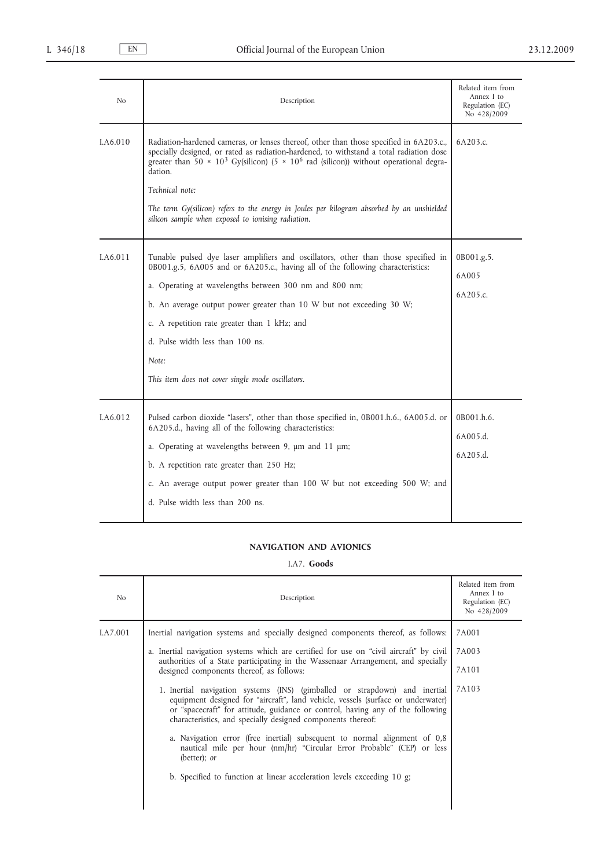| N <sub>o</sub> | Description                                                                                                                                                                                                                                                                                                                                                                                                                                                                                       | Related item from<br>Annex I to<br>Regulation (EC)<br>No 428/2009 |
|----------------|---------------------------------------------------------------------------------------------------------------------------------------------------------------------------------------------------------------------------------------------------------------------------------------------------------------------------------------------------------------------------------------------------------------------------------------------------------------------------------------------------|-------------------------------------------------------------------|
| LA6.010        | Radiation-hardened cameras, or lenses thereof, other than those specified in 6A203.c.,<br>specially designed, or rated as radiation-hardened, to withstand a total radiation dose<br>greater than 50 $\times$ 10 <sup>3</sup> Gy(silicon) (5 $\times$ 10 <sup>6</sup> rad (silicon)) without operational degra-<br>dation.<br>Technical note:<br>The term Gy(silicon) refers to the energy in Joules per kilogram absorbed by an unshielded<br>silicon sample when exposed to ionising radiation. | 6A203.c.                                                          |
| LA6.011        | Tunable pulsed dye laser amplifiers and oscillators, other than those specified in<br>0B001.g.5, 6A005 and or 6A205.c., having all of the following characteristics:<br>a. Operating at wavelengths between 300 nm and 800 nm;<br>b. An average output power greater than 10 W but not exceeding 30 W;<br>c. A repetition rate greater than 1 kHz; and<br>d. Pulse width less than 100 ns.<br>Note:<br>This item does not cover single mode oscillators.                                          | 0B001.g.5.<br>6A005<br>6A205.c.                                   |
| I.A6.012       | Pulsed carbon dioxide "lasers", other than those specified in, 0B001.h.6., 6A005.d. or<br>6A205.d., having all of the following characteristics:<br>a. Operating at wavelengths between 9, um and 11 um;<br>b. A repetition rate greater than 250 Hz;<br>c. An average output power greater than 100 W but not exceeding 500 W; and<br>d. Pulse width less than 200 ns.                                                                                                                           | 0B001.h.6.<br>6A005.d.<br>6A205.d.                                |

## **NAVIGATION AND AVIONICS**

## I.A7. **Goods**

| No       | Description                                                                                                                                                                                                                                                                                                     | Related item from<br>Annex I to<br>Regulation (EC)<br>No 428/2009 |
|----------|-----------------------------------------------------------------------------------------------------------------------------------------------------------------------------------------------------------------------------------------------------------------------------------------------------------------|-------------------------------------------------------------------|
| I.A7.001 | Inertial navigation systems and specially designed components thereof, as follows:                                                                                                                                                                                                                              | 7A001                                                             |
|          | a. Inertial navigation systems which are certified for use on "civil aircraft" by civil                                                                                                                                                                                                                         | 7A003                                                             |
|          | authorities of a State participating in the Wassenaar Arrangement, and specially<br>designed components thereof, as follows:                                                                                                                                                                                    |                                                                   |
|          | 1. Inertial navigation systems (INS) (gimballed or strapdown) and inertial<br>equipment designed for "aircraft", land vehicle, vessels (surface or underwater)<br>or "spacecraft" for attitude, guidance or control, having any of the following<br>characteristics, and specially designed components thereof: | 7A103                                                             |
|          | a. Navigation error (free inertial) subsequent to normal alignment of 0,8<br>nautical mile per hour (nm/hr) "Circular Error Probable" (CEP) or less<br>(better); or                                                                                                                                             |                                                                   |
|          | b. Specified to function at linear acceleration levels exceeding 10 g;                                                                                                                                                                                                                                          |                                                                   |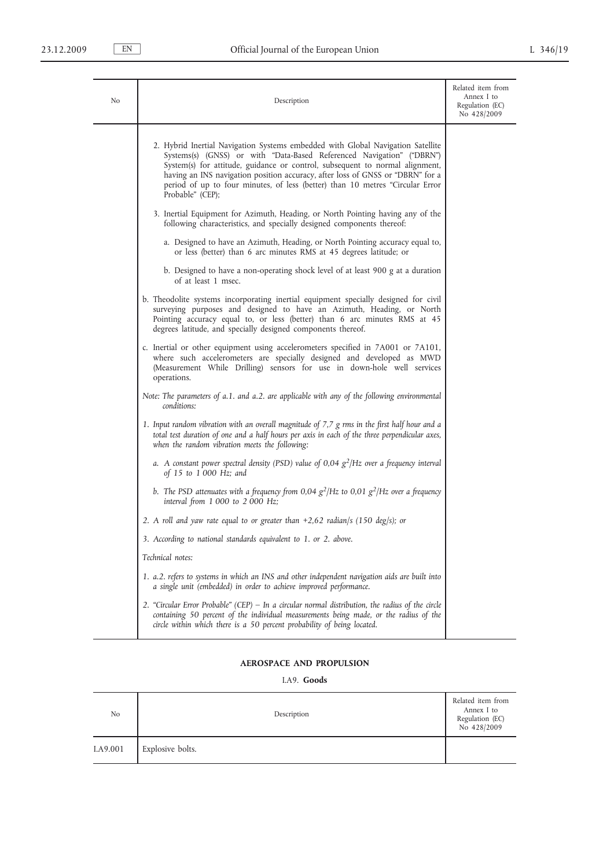| No | Description                                                                                                                                                                                                                                                                                                                                                                                                                     | Related item from<br>Annex I to<br>Regulation (EC)<br>No 428/2009 |
|----|---------------------------------------------------------------------------------------------------------------------------------------------------------------------------------------------------------------------------------------------------------------------------------------------------------------------------------------------------------------------------------------------------------------------------------|-------------------------------------------------------------------|
|    | 2. Hybrid Inertial Navigation Systems embedded with Global Navigation Satellite<br>Systems(s) (GNSS) or with "Data-Based Referenced Navigation" ("DBRN")<br>System(s) for attitude, guidance or control, subsequent to normal alignment,<br>having an INS navigation position accuracy, after loss of GNSS or "DBRN" for a<br>period of up to four minutes, of less (better) than 10 metres "Circular Error<br>Probable" (CEP); |                                                                   |
|    | 3. Inertial Equipment for Azimuth, Heading, or North Pointing having any of the<br>following characteristics, and specially designed components thereof:                                                                                                                                                                                                                                                                        |                                                                   |
|    | a. Designed to have an Azimuth, Heading, or North Pointing accuracy equal to,<br>or less (better) than 6 arc minutes RMS at 45 degrees latitude; or                                                                                                                                                                                                                                                                             |                                                                   |
|    | b. Designed to have a non-operating shock level of at least 900 g at a duration<br>of at least 1 msec.                                                                                                                                                                                                                                                                                                                          |                                                                   |
|    | b. Theodolite systems incorporating inertial equipment specially designed for civil<br>surveying purposes and designed to have an Azimuth, Heading, or North<br>Pointing accuracy equal to, or less (better) than 6 arc minutes RMS at 45<br>degrees latitude, and specially designed components thereof.                                                                                                                       |                                                                   |
|    | c. Inertial or other equipment using accelerometers specified in 7A001 or 7A101,<br>where such accelerometers are specially designed and developed as MWD<br>(Measurement While Drilling) sensors for use in down-hole well services<br>operations.                                                                                                                                                                             |                                                                   |
|    | Note: The parameters of a.1. and a.2. are applicable with any of the following environmental<br>conditions:                                                                                                                                                                                                                                                                                                                     |                                                                   |
|    | 1. Input random vibration with an overall magnitude of $7,7$ g rms in the first half hour and a<br>total test duration of one and a half hours per axis in each of the three perpendicular axes,<br>when the random vibration meets the following:                                                                                                                                                                              |                                                                   |
|    | a. A constant power spectral density (PSD) value of 0,04 $g^2$ /Hz over a frequency interval<br>of 15 to 1 000 Hz; and                                                                                                                                                                                                                                                                                                          |                                                                   |
|    | b. The PSD attenuates with a frequency from 0,04 $g^2$ /Hz to 0,01 $g^2$ /Hz over a frequency<br>interval from 1 000 to 2 000 Hz;                                                                                                                                                                                                                                                                                               |                                                                   |
|    | 2. A roll and yaw rate equal to or greater than $+2,62$ radian/s (150 deg/s); or                                                                                                                                                                                                                                                                                                                                                |                                                                   |
|    | 3. According to national standards equivalent to 1. or 2. above.                                                                                                                                                                                                                                                                                                                                                                |                                                                   |
|    | Technical notes:                                                                                                                                                                                                                                                                                                                                                                                                                |                                                                   |
|    | 1. a.2. refers to systems in which an INS and other independent navigation aids are built into<br>a single unit (embedded) in order to achieve improved performance.                                                                                                                                                                                                                                                            |                                                                   |
|    | 2. "Circular Error Probable" (CEP) – In a circular normal distribution, the radius of the circle<br>containing 50 percent of the individual measurements being made, or the radius of the<br>circle within which there is a 50 percent probability of being located.                                                                                                                                                            |                                                                   |

# **AEROSPACE AND PROPULSION**

## I.A9. **Goods**

| No       | Description      | Related item from<br>Annex I to<br>Regulation (EC)<br>No 428/2009 |
|----------|------------------|-------------------------------------------------------------------|
| I.A9.001 | Explosive bolts. |                                                                   |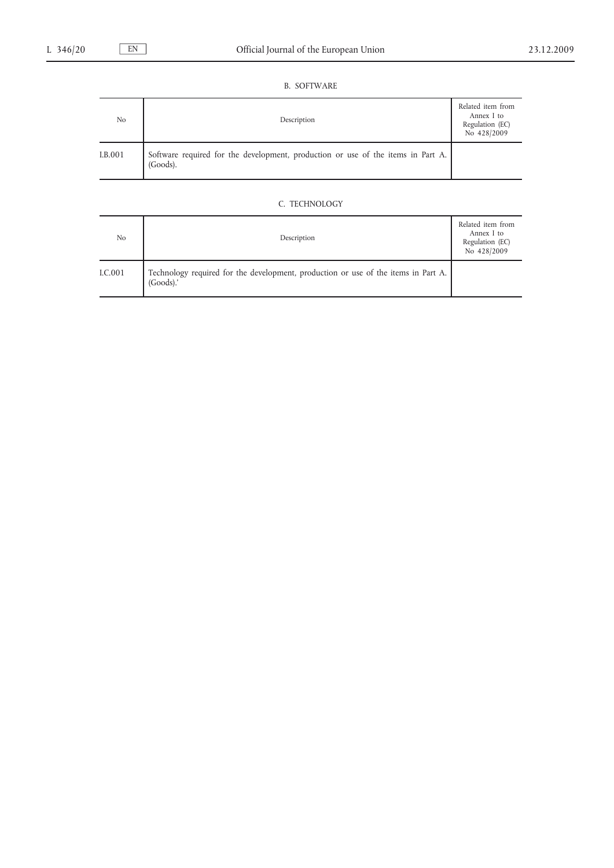## B. SOFTWARE

| N <sub>o</sub> | Description                                                                                     | Related item from<br>Annex I to<br>Regulation (EC)<br>No 428/2009 |
|----------------|-------------------------------------------------------------------------------------------------|-------------------------------------------------------------------|
| I.B.001        | Software required for the development, production or use of the items in Part A.<br>$(Goods)$ . |                                                                   |

## C. TECHNOLOGY

| No      | Description                                                                                       | Related item from<br>Annex I to<br>Regulation (EC)<br>No 428/2009 |
|---------|---------------------------------------------------------------------------------------------------|-------------------------------------------------------------------|
| I.C.001 | Technology required for the development, production or use of the items in Part A.<br>$(Goods)$ . |                                                                   |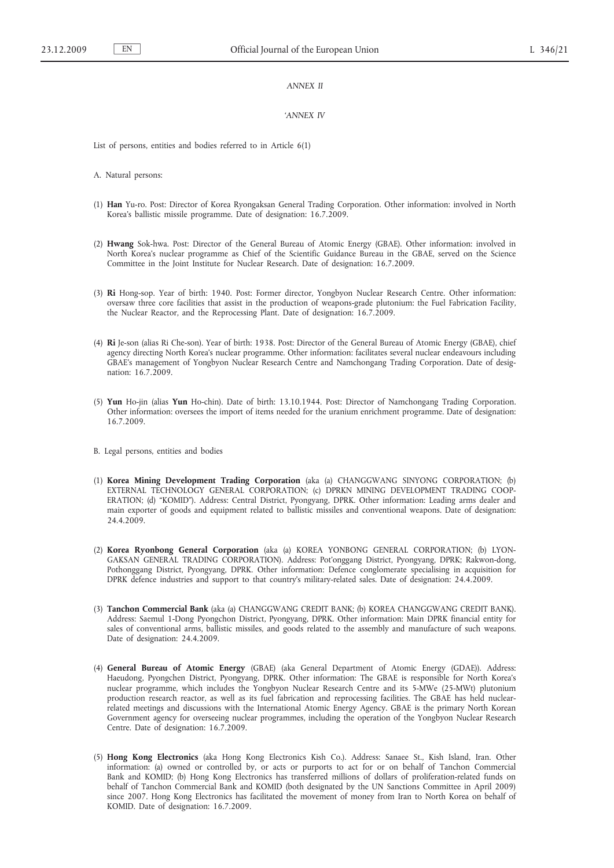#### *ANNEX II*

#### *'ANNEX IV*

List of persons, entities and bodies referred to in Article 6(1)

A. Natural persons:

- (1) **Han** Yu-ro. Post: Director of Korea Ryongaksan General Trading Corporation. Other information: involved in North Korea's ballistic missile programme. Date of designation: 16.7.2009.
- (2) **Hwang** Sok-hwa. Post: Director of the General Bureau of Atomic Energy (GBAE). Other information: involved in North Korea's nuclear programme as Chief of the Scientific Guidance Bureau in the GBAE, served on the Science Committee in the Joint Institute for Nuclear Research. Date of designation: 16.7.2009.
- (3) **Ri** Hong-sop. Year of birth: 1940. Post: Former director, Yongbyon Nuclear Research Centre. Other information: oversaw three core facilities that assist in the production of weapons-grade plutonium: the Fuel Fabrication Facility, the Nuclear Reactor, and the Reprocessing Plant. Date of designation: 16.7.2009.
- (4) **Ri** Je-son (alias Ri Che-son). Year of birth: 1938. Post: Director of the General Bureau of Atomic Energy (GBAE), chief agency directing North Korea's nuclear programme. Other information: facilitates several nuclear endeavours including GBAE's management of Yongbyon Nuclear Research Centre and Namchongang Trading Corporation. Date of designation: 16.7.2009.
- (5) **Yun** Ho-jin (alias **Yun** Ho-chin). Date of birth: 13.10.1944. Post: Director of Namchongang Trading Corporation. Other information: oversees the import of items needed for the uranium enrichment programme. Date of designation: 16.7.2009.
- B. Legal persons, entities and bodies
- (1) **Korea Mining Development Trading Corporation** (aka (a) CHANGGWANG SINYONG CORPORATION; (b) EXTERNAL TECHNOLOGY GENERAL CORPORATION; (c) DPRKN MINING DEVELOPMENT TRADING COOP-ERATION; (d) "KOMID"). Address: Central District, Pyongyang, DPRK. Other information: Leading arms dealer and main exporter of goods and equipment related to ballistic missiles and conventional weapons. Date of designation: 24.4.2009.
- (2) **Korea Ryonbong General Corporation** (aka (a) KOREA YONBONG GENERAL CORPORATION; (b) LYON-GAKSAN GENERAL TRADING CORPORATION). Address: Pot'onggang District, Pyongyang, DPRK; Rakwon-dong, Pothonggang District, Pyongyang, DPRK. Other information: Defence conglomerate specialising in acquisition for DPRK defence industries and support to that country's military-related sales. Date of designation: 24.4.2009.
- (3) **Tanchon Commercial Bank** (aka (a) CHANGGWANG CREDIT BANK; (b) KOREA CHANGGWANG CREDIT BANK). Address: Saemul 1-Dong Pyongchon District, Pyongyang, DPRK. Other information: Main DPRK financial entity for sales of conventional arms, ballistic missiles, and goods related to the assembly and manufacture of such weapons. Date of designation: 24.4.2009.
- (4) **General Bureau of Atomic Energy** (GBAE) (aka General Department of Atomic Energy (GDAE)). Address: Haeudong, Pyongchen District, Pyongyang, DPRK. Other information: The GBAE is responsible for North Korea's nuclear programme, which includes the Yongbyon Nuclear Research Centre and its 5-MWe (25-MWt) plutonium production research reactor, as well as its fuel fabrication and reprocessing facilities. The GBAE has held nuclearrelated meetings and discussions with the International Atomic Energy Agency. GBAE is the primary North Korean Government agency for overseeing nuclear programmes, including the operation of the Yongbyon Nuclear Research Centre. Date of designation: 16.7.2009.
- (5) **Hong Kong Electronics** (aka Hong Kong Electronics Kish Co.). Address: Sanaee St., Kish Island, Iran. Other information: (a) owned or controlled by, or acts or purports to act for or on behalf of Tanchon Commercial Bank and KOMID; (b) Hong Kong Electronics has transferred millions of dollars of proliferation-related funds on behalf of Tanchon Commercial Bank and KOMID (both designated by the UN Sanctions Committee in April 2009) since 2007. Hong Kong Electronics has facilitated the movement of money from Iran to North Korea on behalf of KOMID. Date of designation: 16.7.2009.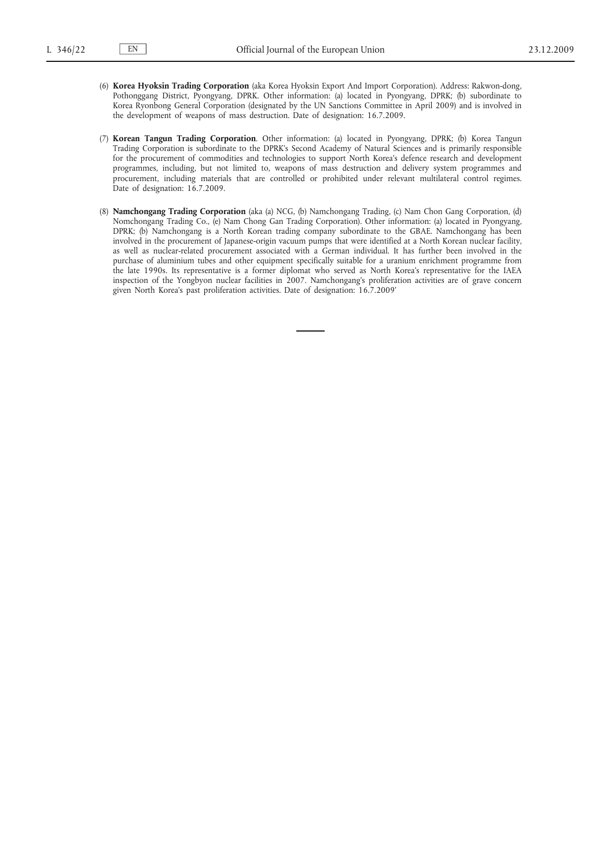- (6) **Korea Hyoksin Trading Corporation** (aka Korea Hyoksin Export And Import Corporation). Address: Rakwon-dong, Pothonggang District, Pyongyang, DPRK. Other information: (a) located in Pyongyang, DPRK; (b) subordinate to Korea Ryonbong General Corporation (designated by the UN Sanctions Committee in April 2009) and is involved in the development of weapons of mass destruction. Date of designation: 16.7.2009.
- (7) **Korean Tangun Trading Corporation**. Other information: (a) located in Pyongyang, DPRK; (b) Korea Tangun Trading Corporation is subordinate to the DPRK's Second Academy of Natural Sciences and is primarily responsible for the procurement of commodities and technologies to support North Korea's defence research and development programmes, including, but not limited to, weapons of mass destruction and delivery system programmes and procurement, including materials that are controlled or prohibited under relevant multilateral control regimes. Date of designation: 16.7.2009.
- (8) **Namchongang Trading Corporation** (aka (a) NCG, (b) Namchongang Trading, (c) Nam Chon Gang Corporation, (d) Nomchongang Trading Co., (e) Nam Chong Gan Trading Corporation). Other information: (a) located in Pyongyang, DPRK; (b) Namchongang is a North Korean trading company subordinate to the GBAE. Namchongang has been involved in the procurement of Japanese-origin vacuum pumps that were identified at a North Korean nuclear facility, as well as nuclear-related procurement associated with a German individual. It has further been involved in the purchase of aluminium tubes and other equipment specifically suitable for a uranium enrichment programme from the late 1990s. Its representative is a former diplomat who served as North Korea's representative for the IAEA inspection of the Yongbyon nuclear facilities in 2007. Namchongang's proliferation activities are of grave concern given North Korea's past proliferation activities. Date of designation: 16.7.2009'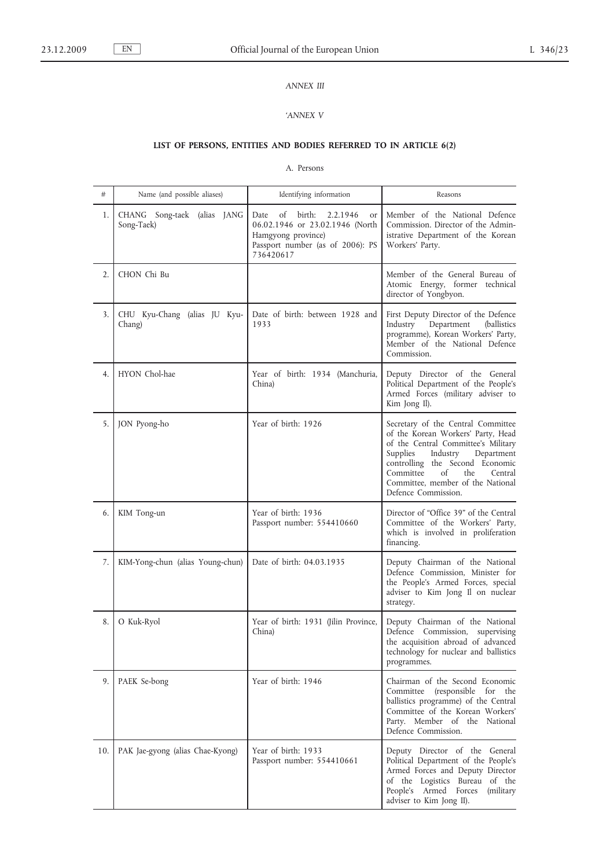# *ANNEX III*

## *'ANNEX V*

# **LIST OF PERSONS, ENTITIES AND BODIES REFERRED TO IN ARTICLE 6(2)**

## A. Persons

| #   | Name (and possible aliases)               | Identifying information                                                                                                                                 | Reasons                                                                                                                                                                                                                                                                                   |
|-----|-------------------------------------------|---------------------------------------------------------------------------------------------------------------------------------------------------------|-------------------------------------------------------------------------------------------------------------------------------------------------------------------------------------------------------------------------------------------------------------------------------------------|
| 1.  | CHANG Song-taek (alias JANG<br>Song-Taek) | of<br>birth:<br>2.2.1946<br>Date<br><b>or</b><br>06.02.1946 or 23.02.1946 (North<br>Hamgyong province)<br>Passport number (as of 2006): PS<br>736420617 | Member of the National Defence<br>Commission. Director of the Admin-<br>istrative Department of the Korean<br>Workers' Party.                                                                                                                                                             |
| 2.  | CHON Chi Bu                               |                                                                                                                                                         | Member of the General Bureau of<br>Atomic Energy, former technical<br>director of Yongbyon.                                                                                                                                                                                               |
| 3.  | CHU Kyu-Chang (alias JU Kyu-<br>Chang)    | Date of birth: between 1928 and<br>1933                                                                                                                 | First Deputy Director of the Defence<br>Industry<br>Department<br>(ballistics<br>programme), Korean Workers' Party,<br>Member of the National Defence<br>Commission.                                                                                                                      |
| 4.  | HYON Chol-hae                             | Year of birth: 1934 (Manchuria,<br>China)                                                                                                               | Deputy Director of the General<br>Political Department of the People's<br>Armed Forces (military adviser to<br>Kim Jong Il).                                                                                                                                                              |
| 5.  | JON Pyong-ho                              | Year of birth: 1926                                                                                                                                     | Secretary of the Central Committee<br>of the Korean Workers' Party, Head<br>of the Central Committee's Military<br>Supplies<br>Industry<br>Department<br>controlling the Second Economic<br>Committee<br>of<br>the<br>Central<br>Committee, member of the National<br>Defence Commission. |
| 6.  | KIM Tong-un                               | Year of birth: 1936<br>Passport number: 554410660                                                                                                       | Director of "Office 39" of the Central<br>Committee of the Workers' Party,<br>which is involved in proliferation<br>financing.                                                                                                                                                            |
| 7.  | KIM-Yong-chun (alias Young-chun)          | Date of birth: 04.03.1935                                                                                                                               | Deputy Chairman of the National<br>Defence Commission, Minister for<br>the People's Armed Forces, special<br>adviser to Kim Jong Il on nuclear<br>strategy.                                                                                                                               |
| 8.  | O Kuk-Ryol                                | Year of birth: 1931 (Jilin Province,<br>China)                                                                                                          | Deputy Chairman of the National<br>Defence Commission,<br>supervising<br>the acquisition abroad of advanced<br>technology for nuclear and ballistics<br>programmes.                                                                                                                       |
| 9.  | PAEK Se-bong                              | Year of birth: 1946                                                                                                                                     | Chairman of the Second Economic<br>Committee (responsible for the<br>ballistics programme) of the Central<br>Committee of the Korean Workers'<br>Party. Member of the National<br>Defence Commission.                                                                                     |
| 10. | PAK Jae-gyong (alias Chae-Kyong)          | Year of birth: 1933<br>Passport number: 554410661                                                                                                       | Deputy Director of the General<br>Political Department of the People's<br>Armed Forces and Deputy Director<br>of the Logistics Bureau of the<br>People's Armed Forces<br>(military)<br>adviser to Kim Jong II).                                                                           |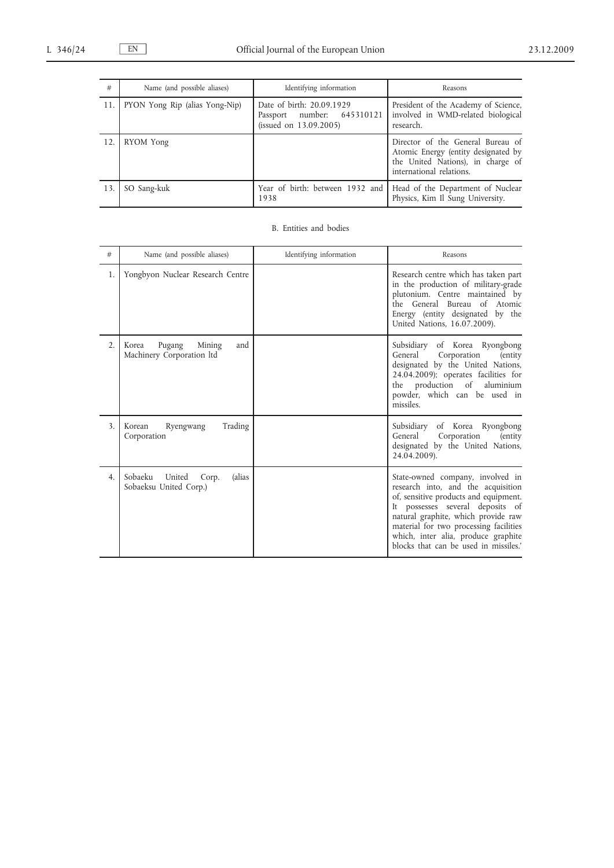| #   | Name (and possible aliases)    | Identifying information                                                           | Reasons                                                                                                                                   |
|-----|--------------------------------|-----------------------------------------------------------------------------------|-------------------------------------------------------------------------------------------------------------------------------------------|
| 11. | PYON Yong Rip (alias Yong-Nip) | Date of birth: 20.09.1929<br>Passport number: 645310121<br>(issued on 13.09.2005) | President of the Academy of Science,<br>involved in WMD-related biological<br>research.                                                   |
| 12. | RYOM Yong                      |                                                                                   | Director of the General Bureau of<br>Atomic Energy (entity designated by<br>the United Nations), in charge of<br>international relations. |
| 13. | SO Sang-kuk                    | 1938                                                                              | Year of birth: between 1932 and   Head of the Department of Nuclear<br>Physics, Kim Il Sung University.                                   |

## B. Entities and bodies

| #                | Name (and possible aliases)                                    | Identifying information | Reasons                                                                                                                                                                                                                                                                                                              |
|------------------|----------------------------------------------------------------|-------------------------|----------------------------------------------------------------------------------------------------------------------------------------------------------------------------------------------------------------------------------------------------------------------------------------------------------------------|
| 1.               | Yongbyon Nuclear Research Centre                               |                         | Research centre which has taken part<br>in the production of military-grade<br>plutonium. Centre maintained by<br>the General Bureau of Atomic<br>Energy (entity designated by the<br>United Nations, 16.07.2009).                                                                                                   |
| $\overline{2}$ . | Pugang<br>Mining<br>and<br>Korea<br>Machinery Corporation ltd  |                         | Subsidiary of Korea Ryongbong<br>General<br>Corporation<br>(entity)<br>designated by the United Nations,<br>24.04.2009); operates facilities for<br>production of<br>aluminium<br>the<br>powder, which can be used in<br>missiles.                                                                                   |
| 3.               | Trading<br>Ryengwang<br>Korean<br>Corporation                  |                         | Subsidiary<br>of Korea Ryongbong<br>General<br>Corporation<br>(entity)<br>designated by the United Nations,<br>24.04.2009).                                                                                                                                                                                          |
| 4.               | Sobaeku<br>United<br>(alias<br>Corp.<br>Sobaeksu United Corp.) |                         | State-owned company, involved in<br>research into, and the acquisition<br>of, sensitive products and equipment.<br>It possesses several deposits of<br>natural graphite, which provide raw<br>material for two processing facilities<br>which, inter alia, produce graphite<br>blocks that can be used in missiles.' |